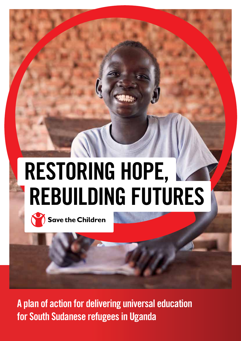# RESTORING HOPE, **REBUILDING FUTURES**



Save the Children

A plan of action for delivering universal education for South Sudanese refugees in Uganda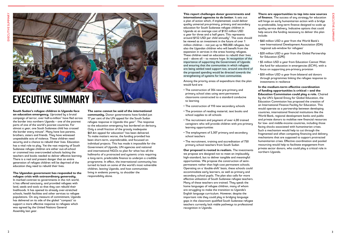

# EXECUTIVE SUMMARY

**This report challenges donor governments and international agencies to do better.** It sets out a plan of action which, if implemented, could deliver quality universal pre-primary, primary and secondary education for South Sudanese refugee children in Uganda at an average cost of \$132 million USD a year for three and a half years. This represents around \$152 USD per child annually**<sup>5</sup>** . The costs should be viewed as an investment in the future of over 1 million children – not just up to 900,000 refugees, but also the Ugandan children who will benefit from the expansion in services in the areas hosting refugees. These children need an education to rebuild their lives and – above all – to restore hope. In recognition of the importance of supporting the Government of Uganda and ensuring that the communities in which refugees are being settled need support too, around one-third of the proposed spending would be directed towards the strengthening of systems for host communities.

Among the priority areas of expenditure that the plan would fund are:

- The construction of 304 new pre-primary and primary school sites using semi-permanent classrooms constructed to a standard conducive to learning
- The construction of 110 new secondary schools
- The provision of reading material, text books and school supplies to all schools
- The recruitment and payment of over 4,00 trained caregivers who will provide children with pre-primary learning opportunities
- The employment of 5,307 primary and secondary school teachers
- The recruitment, training and accreditation of 750 primary school teachers from South Sudan

**Our proposal is rooted in realism.** The investments we propose are designed not to meet an implausibly high-standard, but to deliver tangible and meaningful opportunities. We propose the construction of semipermanent rather than high-cost permanent schools. Operating on a 'double-shift' basis, these schools could accommodate early learners, as well as primary and secondary school pupils. The plan also calls for more effective utilisation of South Sudanese refugee teachers. Many of these teachers are trained. They speak the home languages of refugee children, many of whom are struggling to make the transition to Uganda's English language curriculum. However, despite the important role they could play in bridging language gaps in the classroom qualified South Sudanese refugee teachers currently lack viable pathways to professional recognition in Uganda.

**There are opportunities to tap into new sources of finance.** The success of any strategy for education will hinge on early humanitarian action with a bridge to predictable, long-term finance designed to scale up quality service delivery. Indicative options that could help secure the funding necessary to deliver this plan include:

- \$60 million USD a year from the World Bank's new International Development Association (IDA) 'regional sub-window for refugees'
- \$20 million USD a year from the Global Partnership for Education (GPE)
- \$5 million USD a year from Education Cannot Wait: the fund for education in emergencies (ECW), with a focus on supporting pre-primary provision
- \$50 million USD a year from bilateral aid donors through programmes linking the refugee response to investments in resilience

**In the medium-term effective coordination of funding opportunities is critical – and the Education Commission could play a role.** Chaired by the UN's Special Envoy for Global Education, the Education Commission has proposed the creation of an International Finance Facility for Education. This would operate as a partnership between developing countries, international financial institutions like the World Bank, regional development banks and public and private donors to mobilise new financial resources for low- and middle-income countries, including those facing shocks associated with humanitarian crises. Such a mechanism would help to cut through the fragmented and often competing financing and delivery mechanisms that are supposed to support protracted humanitarian crises. Effective coordination and pooled resourcing would help to facilitate engagement from private sector donors, who could play a critical role in northern Uganda.

**South Sudan's refugee children in Uganda face an education emergency.** Uprooted by a brutal campaign of terror, over half-a-million**<sup>1</sup>** have fled across the border into northern Uganda – one of the poorest parts of one of the world's poorest countries. For almost a year, one South Sudanese child has crossed the border every minute**<sup>2</sup>** . Many have lost parents, brothers, sisters and friends. They have witnessed unspeakable acts of violence. These children need security and a chance to rebuild their lives. Education has a vital role to play. Yet the vast majority of South Sudanese refugee children are either out-of-school or crammed into overcrowded schools lacking the teachers and books needed to deliver effective learning. There is a real and present danger that an entire generation of refugee children will be deprived of the education they need to rebuild their lives.

**The Ugandan government has responded to the refugee crisis with extraordinary generosity.** In marked contrast to governments in the rich world, it has offered sanctuary, and provided refugees with land, seeds and tools so that they can rebuild their livelihoods. It has opened its already over-stretched schools, health facilities and other services to refugee populations. On any measure of commitment, Uganda has delivered on its side of the global ''compact' to support a more effective response to refugees which was agreed by the United Nations General Assembly last year.

**The same cannot be said of the international community.** Donor governments have funded just 17 per cent of the UN appeal for the South Sudan refugee response in Uganda this year**<sup>3</sup>** . The response to the education emergency has bordered on derisory. Only a small fraction of the grossly inadequate \$61.6m appeal for education**<sup>4</sup>** has been delivered. To make matters worse, the funding provided has been short-term, unpredictable, and focussed on individual projects. This has made it impossible for the Government of Uganda, UN agencies and national and international NGOs to plan for what has all the hallmarks of a protracted and systemic crisis requiring a long-term, predictable finance to underpin a credible programme. In effect, the international community has turned its back on some of the world's most vulnerable children, leaving Uganda, and host communities living in endemic poverty, to shoulder the responsibility alone.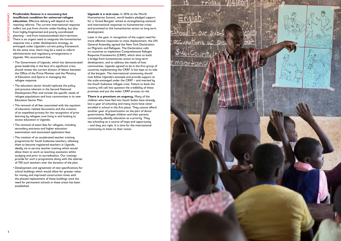

#### **Predictable finance is a necessary but insufficient condition for universal refugee education.** Effective delivery will depend on farreaching reforms. The current international response suffers not just from chronic under-funding, but also from highly-fragmented and poorly coordinated

planning – and from institutionalised short-termism. There is an urgent need to integrate the humanitarian response into a wider development strategy, as envisaged under Uganda's current policy framework. At the same time, there may be a need to reform administrative and regulatory arrangements in Uganda. We recommend that:

- The Government of Uganda, which has demonstrated great leadership in the face of a significant crisis, should review the current division of labour between the Office of the Prime Minister and the Ministry of Education and Sports in managing the refugee response.
- The education sector should replicate the policy and practice inherent in the Second National Development Plan and include the specific needs of refugee populations and host communities in its new Education Sector Plan.
- The removal of all fees associated with the equation of education related documents and the creation of an expedited process for the recognition of prior learning by refugees now living in and looking to access education in Uganda.
- The removal of exam fees for refugees, including secondary entrance and higher education examination and associated application fees.
- The creation of an accelerated teacher training programme for South Sudanese teachers, allowing them to become registered teachers in Uganda, ideally via in-service teacher training which would allow them to work as teaching assistants whilst studying and prior to accreditation. Our costings provide for such a programme along with the salaries of 750 such teachers over the duration of the plan.
- Development and agreement of new specifications for school buildings which would allow for greater value for money and improved construction times with the phased replacement of these buildings once the need for permanent schools in these areas has been established.

**Uganda is a test-case.** In 2016 at the World Humanitarian Summit, world leaders pledged support for a 'Grand Bargain' aimed at strengthening national and international responses to humanitarian crises and promised to link humanitarian action to long term development.

tridau

elihood in our

<u>rimportanc</u>

occupations of De

Later in the year, in recognition of the urgent need for more effective responses to mass displacement, the UN General Assembly agreed the New York Declaration on Migrants and Refugees. The Declaration calls on countries to implement Comprehensive Refugee Response Frameworks (CRRF), which aims to build a bridge from humanitarian action to long-term development, and to address the needs of host communities. Uganda agreed to be in the first group of countries implementing the CRRF. It has kept to its side of the bargain. The international community should now follow Uganda's example and provide support at the scale envisaged under the CRRF – and merited by the South Sudanese refugee crisis. Failure to back the country will call into question the credibility of these promises and put the wider CRRF process at risk.

**There is a premium on urgency.** Many of the children who have fled into South Sudan have already lost a year of schooling and many more have never enrolled in school in the first place. They cannot afford another year of prevarication on the part of donor governments. Refugee children and their parents consistently identify education as a priority. They see schooling as a source of hope and opportunity – and they are right. It is time for the international community to listen to their voices.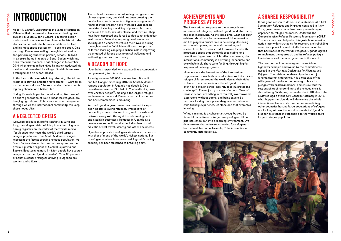

Aged 14, Daniel\*, understands the value of education. When he fled the armed violence unleashed against civilians in South Sudan's Central Equatoria region and crossed as a refugee into Uganda, he left with the clothes on his back, the broken sandals on his feet, and his most prized possession – a science book. One year ago Daniel was sailing through his education a top-performing student in primary school. He lived in a secure home in a part of South Sudan which had been free from violence. That changed in November 2016 when armed militia killed his father, abducted his mother and terrorised his village. Daniel's home was destroyed and his school closed.

In the face of this overwhelming adversity, Daniel has retained a burning ambition for learning. "I want to be a scientist or a doctor," he says, adding: "education is my only chance for a better life."

The scale of the exodus is not widely recognised. For almost a year now, one child has been crossing the border from South Sudan into Uganda every minute**<sup>8</sup>** . Many of these children have witnessed unspeakable atrocities, including the killing of parents, brothers, sisters and friends, sexual violence, and torture. They have been uprooted and forced to flee to an unfamiliar environment. Now they urgently need protection, security and a chance to rebuild their lives, including through education. Which in addition to supporting children's learning can play a critical role in improving traumatised children's psychological wellbeing and facilitating a return to normalcy. **INTRODUCTION** The scale of the exodus is not widely recognised. For **ACHIEVEMENTS AND**<br>almost a year now, one child has been crossing the **ACHIEVEMENTS AND** 

Today, Daniel's hopes for an education, like those of an entire generation of South Sudanese refugees, are hanging by a thread. This report sets out an agenda through which the international community can keep those hopes alive.

#### A NEGLECTED CRISIS

Crowded out by high profile conflicts in Syria and Iraq, the refugee crisis unfolding in northern Uganda barely registers on the radar of the world's media. Yet Uganda now hosts the world's third-largest refugee population – and South Sudanese refugees represent the fastest growing refugee population. As South Sudan's descent into terror has spread to the previously stable regions of Central Equatoria and Eastern Equatoria, almost 1 million people have sought refuge across the Ugandan border**<sup>6</sup>** . Over 80 per cent of South Sudanese refugees arriving in Uganda are women and children**<sup>7</sup>** .

## A BEACON OF HOPE

Uganda has responded with extraordinary compassion and generosity to this crisis.

Already home to 400,000 refugees from Burundi and DR Congo**<sup>9</sup>** , since July 2016 the South Sudanese refugee population in Uganda has doubled. One resettlement area at Bidi Bidi, in Yumbe district, hosts over 270,000 people**<sup>10</sup>**, making it the largest refugee settlement in the world. Pressure on local resources and host communities is mounting.

Yet the Ugandan government has retained its 'open door' policy, allowing refugees, irrespective of nationality access to its territory, land to settle and cultivate along with the right to seek employment and establish businesses. Refugees in Uganda also have access to public services including health and education, vital travel, identity and other documents.

Uganda's approach to refugees stands in stark contrast with that of many of the world's richest nations. But as refugee numbers have increased, Uganda's coping capacity has been stretched to breaking point.

# PROGRESS AT RISK

The international response to the unprecedented movement of refugees, both in Uganda and elsewhere, has been inadequate. At the same time, what has been achieved should not be under-stated. Humanitarian aid has played a crucial role in delivering life-saving nutritional support, water and sanitation, and shelter. Lives have been saved. However, faced with protracted crises that demands predictable longterm financing at levels which reflect real needs, the international community is delivering inadequate and overwhelmingly short-term funding, through highly fragmented delivery systems.

Nowhere are the limitations of the international response more visible than in education with 3.5 million refugee children around the world denied their right to learn. The situation in northern Uganda, home to over half-a-million school age refugees illustrates the challenge**<sup>11</sup>**. The majority are out of school. Most of those in school are sitting in chronically overcrowded classrooms without books, and being taught by teachers lacking the support they need to deliver a child-friendly experience, let alone one that promotes learning.

What is missing is a coherent strategy, backed by financial commitments, to get every refugee child not just into school but into a learning environment. We demonstrate that universal schooling for refugees is both affordable and achievable, *if* the international community acts decisively.

# A SHARED RESPONSIBILITY

It has good reason to do so. Last September, at a UN Summit for Refugees and Migrants convened in New York, governments committed to a game-changing approach to refugee responses. Under the the Comprehensive Refugee Response Framework (CRRF) **<sup>12</sup>** donor countries pledged to integrate humanitarian action into wider strategies for recovery and rebuilding – and to support low and middle income countries that host most of the world's refugees. Uganda agreed to implement the approach, and its refugee policy is lauded as one of the most generous in the world.

The international community must now follow Uganda's example and live up to the commitments agreed in the *New York Declaration for Migrants and Refugees*. The crisis in northern Uganda is not just a humanitarian emergency. It is a test case of the willingness of the donor community to back its pledges with practical actions, and ensure that the responsibility of responding to the refugee crisis is shared fairly. With progress under the CRRF due to be reviewed again at the UN General Assembly in 2018, what happens in Uganda will determine the whole international framework. Even more immediately, other countries hosting large populations of refugees are looking at how the world responds to Uganda's plea for assistance in responding to the world's third largest refugee population.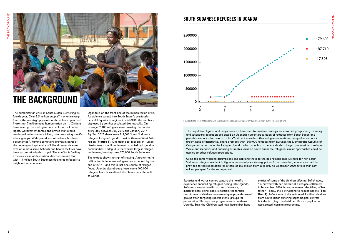The humanitarian crisis in South Sudan is entering its fourth year. Over 3.5 million people**13** – one-in-everyfour of the country's population - have been uprooted. More than 7 million need humanitarian aid<sup>14</sup>. Civilians have faced grave and systematic violations of human rights. Government forces and armed militia have conducted indiscriminate killing, often targeting specific ethnic groups. Widespread sexual violence has been documented**<sup>15</sup>**. Famine conditions prevail in parts of the country and epidemics of killer diseases threaten lives on a mass scale. Schools and health facilities have been systematically destroyed. The conflict is fuelling a vicious spiral of destitution, destruction and fear, with 1.3 million South Sudanese fleeing as refugees to neighbouring countries.

Uganda is on the front-line of the humanitarian crisis. As violence spread into South Sudan's previously peaceful Equatoria regions in mid-2016, the numbers displaced by conflict escalated dramatically. On average, 2,400 refugees were crossing the border every day between July 2016 and January 2017. By May 2017, there were 919,000 South Sudanese refugees living in Uganda, most of them in West Nile region **(Figure 1)**. One year ago, Bidi Bidi in Yumbe district was a small settlement occupied by Ugandan communities. Today, it is the world's largest refugee settlement, hosting some 270,000 South Sudanese.

The exodus shows no sign of slowing. Another half-amillion South Sudanese refugees are expected by the end of 2017 – and this is just one source of refugee flows. Uganda also already hosts some 400,000 refugees from Burundi and the Democratic Republic of Congo.





The population figures and projections we have used to produce costings for universal pre-primary, primary and secondary education are based on Uganda's current population of refugees from South Sudan and plausible scenarios for new arrivals. We do not consider other refugee populations, many of whom are in urgent need of assistance. There aremore than 300,000 refugees from Burundi, the Democratic Republic of Congo and other countries living in Uganda, which now hosts the world's third largest population of refugees. While our scenarios and financing estimates focus on South Sudanese refugees, similar approaches could be applied to other refugee populations.

Using the same working assumptions and applying these to the age related data we have for non South Sudanese refugees resident in Uganda, universal pre-primary, primar7 and secondary education could be provided to that population for a total of \$66 million from July 2017 to December 2020 or less than \$19 million per year for the same period.

Source: Data from http://data.unhcr.org/SouthSudan/country.php?id=229. Projection author's calculations

Statistics and words cannot capture the horrific experience endured by refugees fleeing into Uganda. Refugees recount horrific stories of violence, indiscriminate killing, rape, extortion, the forcible recruitment of children into armed groups, with armed groups often targeting specific ethnic groups for persecution. Through our programmes in northern Uganda, Save the Children staff have heard first-hand

stories of some of the children affected. Sofia\* aged, 12, arrived with her mother at a refugee settlement in November, 2016, having witnessed the killing of her father. Today, she is struggling to rebuild her life (**See Box 1**). Sofia is one of the estimated 1 million children from South Sudan suffering psychological distress – but she is trying to rebuild her life as a pupil in an accelerated learning programme.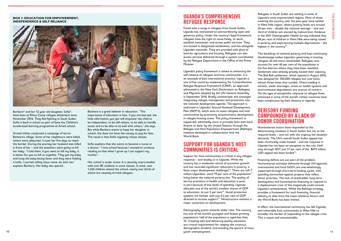

#### **BOX 1: EDUCATION FOR EMPOWERMENT, INDEPENDENCE & SELF RELIANCE**

Barbara\* and her 12 year old daughter, Sofia\*, have been at Rhino Camp refugee settlement since November 2016. They fled fighting in South Sudan. Sofia is back in school as part of Save the Children's accelerated learning programme at Ariwa school.

Armed militia conducted a campaign of terror Barbara's village. Some of her neighbours were killed, others were abducted. It took her five days to reach the border. During the journey her husband was killed in front of her – and the attackers were going to kill her baby. "I told them, if you want to kill my baby, it is better for you to kill us together. They got my baby and hung the baby facing down and they were holding a knife. I started calling Jesus name, be with me," explains Barbara. Her baby was spared.

Her school is under stress. It is severely overcrowded, with over 85 students in some classes. In total, over 1,450 children attend the school, nearly two thirds of whom are recently arrived refugees.

Barbara is a great believer in education. "The importance of education is that, if you are learned, the little information you got will empower the child to be independent, to be self-reliant, to be able to handle issues and to be able to sit well with others," she says. But while Barbara wants to keep her daughter in school, she does not have the money to pay for fees. The result is that Sofia regularly misses classes.

Sofia explains that she wants to become a nurse or a doctor, "I love school because I wanted to continue reading so that when I grow up I can support my mother".

#### UGANDA'S COMPREHENSIVE REFUGEE RESPONSE

Faced with a surge in refugees from South Sudan, Uganda has maintained an extraordinarily open and generous policy. Under the country's legal framework, refugees have the right to move freely, to work, establish businesses, and access public services. They are hosted in designated settlements, and live alongside Ugandan nationals. They are provided with plots of land for agriculture and housing. Refugees can also access services delivered through a system coordinated by the Refugee Department in the Office of the Prime Minister.

Uganda's policy framework is aimed at enhancing the self-reliance of refugees and host communities. It is an example of best international practice. Uganda is one of five countries implementing the Comprehensive Refugee Response Framework (CRRF), an approach advocated in the New York Declaration on Refugees and Migrants adopted by the UN General Assembly in September 2016. Briefly summarised, this envisages integrating refugee management and protection into the national development agenda. The approach is enshrined in Uganda's Second National Development Plan (NDP II), which aims to assist refugees and host communities by promoting socioeconomic development in refugee-hosting areas. The policy framework is supported, admittedly more in principle than with hard finance to date, by the United Nations through the Refugee and Host Population Empowerment (ReHope) initiative developed in collaboration with the World Bank.

Humanitarian actors have responded to the deteriorating situation in South Sudan, but not at the required levels – and not with the urgency the situation demands. The UN's overall South Sudan appeal has been chronically under-funded – and the response in Uganda has not been an exception to the rule. Halfway through 2017, just 17 per cent of the \$673 million USD appeal has been funded<sup>21</sup>.

### SUPPORT FOR UGANDA'S HOST COMMUNITIES IS CRITICAL

In effect, the international community has left Uganda and vulnerable host communities in West Nile to shoulder the burden of responding to the refugee crisis. This is uniust and unsustainable.

Support for host-communities is critical in any refugee response – and doubly so in Uganda. While the country has a moderate record of economic growth and has recorded significant reductions in poverty, it faces major development challenges**<sup>16</sup>**. There are still 7 million Ugandans, some 19 per cent of the population<sup>17</sup>, living below the national poverty line. The quality of service provisions in health and education is poor, in part because of low levels of spending. Uganda allocates one of the world's smallest shares of GDP to education, at just 2 per cent**<sup>18</sup>**. Social protection systems are limited, with just 0.4 per cent of GDP directed to income support**<sup>19</sup>**. Infrastructure remains a major constraint on development.

Demography points towards wider risks. The country has one of the world's youngest and fastest growing populations: half of the population is aged less than 15. Creating jobs and delivering quality education are critical requirements for reaping the country's demographic dividend, and avoiding the spectre of mass youth unemployment.

Refugees in South Sudan are settling in some of Uganda's most impoverished regions. Most of those entering the country over the past year have settled in West Nile region, where poverty levels are around 40 per cent – double the national average – and one third of children are stunted by malnutrition. Evidence in the 2011 Demographic Health Survey indicated that 68 per cent of children in West Nile were being raised in poverty and experiencing multiple deprivations – the highest in the country**<sup>20</sup>**.

This backdrop of national poverty and host-community disadvantage makes Uganda's generosity in hosting refugees all-the-more remarkable. Refugees now account for over 60 per cent of the population in the five districts where they have been resettled. Settlement sites already greatly exceed their capacity. The Bidi Bidi settlement, which opened in August 2016, was designed for 100,000 refugees but now hosts almost three-times that number. Overcrowding in schools, water shortages, stress on health systems and environmental degradation are sources of concern. Yet the type of xenophobic response to refugee flows witnessed in some of the world's richest countries have been conspicuous by their absence in Uganda.

#### DERISORY FUNDING COMPOUNDED BY A LACK OF DONOR COORDINATION

Financing deficits are just part of the problem. Humanitarian activities delivered through UN agencies, international and local NGOs are overwhelmingly supported through short-term funding cycles, with spending earmarked against projects that reflect donor priorities. The lack of predictable, long-term development and humanitarian financing to respond to a displacement crisis of this magnitude could unravel Uganda's achievements. While the ReHope strategy provides a framework for such financing, financial delivery to date from the major bilateral donors and the World Bank has been limited.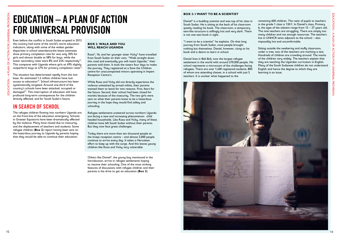

Daniel\* is a budding scientist and was top of his class in South Sudan. He is sitting at the back of his classroom quietly reading his book. The classroom, a temporary tent-like structure is stiflingly hot and very dark. There is not one text book in sight.

"I want to be a scientist" he explains. On that long journey from South Sudan, most people brought nothing but themselves. Daniel, however, clung to his book and a desire to learn in school.

Daniel lives in Bidi Bidi, now the largest refugee settlement in the world with around 270,000 people. His school represents a microcosm of the challenges facing refugees. There are over 1,400 registered students, 800 of whom are attending classes, in a school with just 5 teachers. It is unclear what happened to the

Even before the conflict in South Sudan erupted in 2013 the country had some of the world's worst education indicators, along with some of the widest gender disparities in school attendance:the latest estimates show primary completion rate for was only 30% for girls and almost double at 58% for boys, while the lower secondary rates were 8% and 24% respectively<sup>22</sup>. This compares with Uganda where girls at 49% slightly outperform boys at 47% for primary completion rates<sup>23</sup> remaining 600 children. The ratio of pupils to teachers in the grade 1 class is 130:1. In Daniel's class, Primary 6, the ages of the stduent range from  $12 - 27$  years old. The nine teachers are struggling. There are simply too many children and not enough resources. The teachers live in UNHCR tents adjacent to the school – also impossibly hot and uncomfortable.

Sitting outside the sweltering and stuffy classroom, under a tree, two of the teachers are marking a test. Hundreds of children are crowding around. The marks of the children vary widely. The teachers explain that they are teaching the Ugandan curriculum in English. Many of the South Sudanese children do not understand English and hence the degree to which they are learning is an issue.

The situation has deteriorated rapidly from this low base. An estimated 1.2 million children have lost access to education**<sup>24</sup>**. School infrastructure has been systematically targeted. Around one-third of the country's schools have been attacked, occupied or damaged**<sup>25</sup>**. This interruption of education will have profound long-term consequences for the children directly affected, and for South Sudan's future.

### IN SEARCH OF SCHOOL

The refugee children flowing into northern Uganda are on the front-line of the education emergency. Schools in Greater Equatoria have been dramatically affected by the violence. Many have closed due to insecurity, and the displacement of teachers and students. Some refugee children (**Box 2**) report having been sent on the hazardous journey to Uganda by parents hoping that they would be able to continue their education.

#### **BOX 2: WALK AND YOU WILL REACH UGANDA**

Rosa\*, 16, and her younger sister Vicky\* have travelled from South Sudan on their own. "Walk straight down this road and eventually you will reach Uganda," their parents told them. It took the sisters four days to make the journey. They registered at a Save the Children centre for unaccompanied minors operating in Impevi Reception Centre's.

While Rosa and Vicky did not directly experience the violence unleashed by armed militia, their parents wanted them to leave for two reasons. First, fears for the future. Second, their school had been closed for months because of the insecurity. The two girls were sent on what their parents knew to be a hazardous journey in the hope they would find safety and schooling.

Refugee settlements scattered across northern Uganda are facing a new and increasing phenomenon: child headed households. Like Rosa and Vicky, many of these children have left South Sudan without their parents. But they now face great challenges.

Today there are more than ten thousand people at the Invepi reception centre – and almost 2,000 people continue to arrive every day. It takes a Herculean effort to keep up with the surge. And this leaves young children like Rosa and Vicky very vulnerable.

Others like Daniel\*, the young boy mentioned in the Introduction, arrive in refugee settlements hoping to resume their schooling. One of the most striking features of discussions with refugee children and their parents is the drive to get an education (**Box 3**).

#### **BOX 3: I WANT TO BE A SCIENTIST**

# EDUCATION – A PLAN OF ACTION FOR UNIVERSAL PROVISION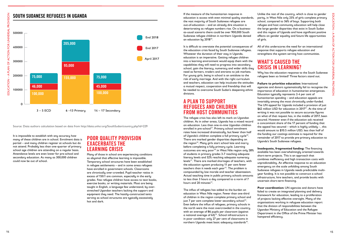

Source: Data authors calculation based on data from http://data.unhcr.org/SouthSudan/country.php?id=229

It is impossible to establish with any accuracy how many of these children are in school. Enrolment data is partial – and many children register at schools but do not attend. Probably less than one-quarter of primary school age children are attending on a regular basis. Attendance levels are even lower for pre-school and secondary education. As many as 300,000 children could now be out of school.

#### POOR QUALITY PROVISION EXACERBATES THE LEARNING CRISIS

Many of those in school are experiencing conditions so abysmal that effective learning is impossible. Temporary school structures have been established in refugee settlements – and in some areas refugees have enrolled in government schools. Classrooms are chronically over-crowded. Pupil-teacher ratios in excess of 150:1 are common, especially in the early grades. Few refugee children have access to text books, exercise books, or writing materials. Most are being taught in English, a language few understand, by overstretched Ugandan teachers lacking the support and equipment they need. The hastily-constructed tents serving as school structures are typically excessively hot and dark.

#### A PLAN TO SUPPORT REFUGEES AND CHILDREN FROM HOST COMMUNITIES

If the measure of the humanitarian response in education is access with even minimal quality standards, the vast majority of South Sudanese refugees are out-of-education – and an already dire situation is deteriorating as refugee numbers rise. On a businessas-usual scenario there could be over 900,000 South Sudanese refugee children in northern Uganda denied an education by 2018**<sup>26</sup>**. Unlike the rest of the country, which is close to gender parity, in West Nile only 25% of girls complete primary school, compared to 36% of boys. Supporting both refugee and host community education will help close the large gender disparities that exist in South Sudan and this region of Uganda and have significant positive effects on gender equality and future life opportunities of girls.

The refugee crisis has also left its mark on Ugandan children. As in other areas, Uganda has a mixed record on education. Less than one-in-nine Ugandan children enrolled in pre-school**<sup>27</sup>**. Primary school enrolment rates have increased dramatically, but fewer than half of Uganda's children complete a full primary cycle**<sup>28</sup>**. There are marked gender disparities depending on the region**<sup>29</sup>**. Many girls start school late and marry before completing a fully primary cycle. Learning outcomes are very poor**<sup>30</sup>**:in West Nile region only 28% of students in primary grades 3-7 reaching adequate literacy levels and 52% reaching adequate numeracy levels**<sup>31</sup>**. There are marked shortages of teachers, with the education system producing 11 per cent fewer teachers than it needs each year**<sup>32</sup>** . The problem is compounded by low morale and teacher absenteeism. Actual teaching time in public primary schools amounts to less than 3 hours a day compared to a norm of 7 hours and 20 minutes**<sup>33</sup>**.

> **Poor coordination:** UN agencies and donors have failed to create an integrated planning and delivery framework for education, leading to a proliferation of projects lacking effective oversight. Many of the organisations working in refuguee education report that the division of responsibilities between the Ugandan Ministry of Education and the Refugee Department in the Office of the Prime Minister has hampered efficiency.

It is difficult to overstate the potential consequences of the education crisis faced by South Sudanese refugees. Whatever the duration of their stay in Uganda, education is an imperative. Getting refugee children into a learning environment would equip them with the capabilities they will need to progress into secondary school, gain the literacy, numeracy and wider skills they need as farmers, traders and entrants to job markets. For young girls, being in school is an antidote to the risk of early marriage. And with the right curriculum and teachers, education can help inculcate the attitudes a mutual respect, cooperation and friendship that will be needed to overcome South Sudan's deepening ethnic divisions. All of this underscores the need for an international response that supports refugee education *and* strengthens the system serving host communities. WHAT'S CAUSED THE CRISIS IN LEARNING? Why has the education response to the South Sudanese refugees been so limited? Three factors stand out. **Failure to prioritise education:** International agencies and donors systematically fail to recognise the importance of education in humanitarian emergences.

The influx of refugees has added to the burden on education in West Nile region. Fewer than one-third of children in the region complete primary school and just 7 per cent complete lower secondary school**<sup>34</sup>**. Even before the influx of refugees, primary schools in the north were the most overcrowded in the country, with an average of 86 pupils per classroom (against a national average of 63)**<sup>35</sup>**. School infrastructure is in poor condition: only 27 per cent of classrooms in northern Uganda meet basic adequacy standards**<sup>36</sup>**.

Education typically represents 2-4 per cent of humanitarian spending – and education appeals are invariably among the most chronically under-funded. The UN appeal for Uganda included a provision of just \$62 million USD for education in 2017**<sup>37</sup>**. At the time of writing it was not possible to secure accurate figures on what of that request has, in the middle of 2017, been secured. However even if the education ask received a concomitant share of the 17 percent of funding that the appeal has secured – which is highly unlikely - , this would amount to \$10.5 million USD, less than half of the funding our costings estimate is required for the remainder of 2017 to provide pre-primary education to Uganda's South Sudanese refugees.

**Inadequate, fragmented funding:** The financing available has been overwhelmingly oriented towards short-term projects. This is an approach that combines inefficiency and high transaction costs with unpredictability. An effective response to an education emergency on the scale unfolding among South Sudanese refugees in Uganda needs predictable multiyear funding. It is not possible to construct a school infrastructure, hire teachers, and provide books with uncertain short-term financing.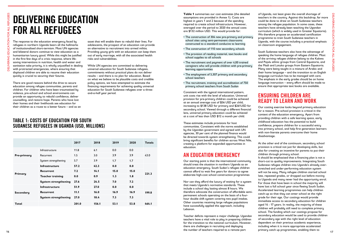**Table 1** summarises our cost estimates (the detailed assumptions are provided in Annex 1). Costs are highest in years 1 and 2 because of the spending required to create school infrastructure. However, averaged over the period to 2020 the annual costs are \$132 million USD. This would provide for:

- The construction of 304 new pre-primary and primary school sites using semi-permanent classrooms constructed to a standard conducive to learning
- The construction of 110 new secondary schools
- The provision of reading material, text books and school supplies to all schools
- The recruitment and payment of over 4,00 trained caregivers who will provide children with pre-primary learning opportunities
- The employment of 5,307 primary and secondary school teachers
- The recruitment, training and accreditation of 750 primary school teachers from South Sudan

### AN EDUCATION EMERGENCY

### ENSURING CHILDREN ARE READY TO LEARN AND WORK

|                    | <b>DELIVERING EDUCATION</b><br><b>FOR ALL REFUGEES</b><br>The response to the education emergency faced by<br>refugees in northern Uganda bears all the hallmarks<br>of institutionalised short-termism. Most UN agencies<br>and bilateral donors continue to view education as a<br>humanitarian luxury good. While this might be justified<br>in the first few days of a crisis response, where life-<br>saving interventions in nutrition, health and water and<br>sanitation take priority, it is wholly unjustified in dealing<br>with protracted emergencies, where ensuring that<br>displaced children are able to resume their education<br>quickly is crucial to securing their futures.<br>There are good reasons behind the drive to secure<br>education among refugee communities, parents and<br>children. For children who have been traumatised by<br>violence, pre-school and school environments can<br>provide an opportunity to rebuild confidence, deliver<br>counselling, and restore hope. Parents who have lost<br>their homes and their livelihoods see education for<br>their children as a route to a better future - and as an<br><b>TABLE 1: COSTS OF EDUCATION FOR SOUTH</b> |               | asset that will enable them to rebuild their lives. For<br>adolescents, the prospect of an education can provide<br>an alternative to recruitment into armed militia.<br>Providing young girls with an education can keep them<br>out of early marriage, with all the associated health<br>risks and vulnerabilities.<br>While UN agencies are committed to delivering<br>universal education for South Sudanese refugees,<br>commitments without practical plans do not deliver<br>results - and there is no plan for education. Based<br>on what we believe to be plausible costs and credible<br>policy options, we have attempted to estimate the<br>financing requirements for achieving quality universal<br>education for South Sudanese refugees over a three-<br>and-a-half year period. |             |             |               | <b>Table 1</b> summarises our cost estimates (the detailed<br>assumptions are provided in Annex 1). Costs are<br>highest in years 1 and 2 because of the spending<br>required to create school infrastructure. However,<br>averaged over the period to 2020 the annual costs<br>are \$132 million USD. This would provide for:<br>• The construction of 304 new pre-primary and primary<br>school sites using semi-permanent classrooms<br>constructed to a standard conducive to learning<br>• The construction of 110 new secondary schools<br>• The provision of reading material, text books and<br>school supplies to all schools<br>• The recruitment and payment of over 4,00 trained<br>caregivers who will provide children with pre-primary<br>learning opportunities<br>• The employment of 5,307 primary and secondary<br>school teachers<br>• The recruitment, training and accreditation of 750<br>primary school teachers from South Sudan<br>Consistent with the typical international pattern,<br>unit costs rise with the level of education. Universal<br>provision for pre-primary children could be achieved<br>at an annual average cost of \$56 USD per child,<br>increasing to \$138 USD for primary and \$261USD for<br>secondary school. Viewed through a different financial<br>lens, universal primary education could be achieved<br>at a cost of less than USD \$12 a month per child. | of Uganda, not least given the overall shortage of<br>teachers in the country. Against this backdrop, far more<br>could be done to draw on South Sudanese teachers<br>among the refugee population. In some cases, these<br>teachers have already been teaching the Ugandan<br>curriculum (which is widely used in Greater Equatoria).<br>We therefore propose an accelerated certification<br>programme to train South Sudanese teachers in<br>Uganda, with the course including a practical emphasis<br>on classroom engagement.<br>South Sudanese teachers also have the advantage of<br>speaking the home language of refugee children. Most<br>of the arriving refugee children belong to the Kakwa<br>and Pojulu ethnic groups from Central Equatoria, and<br>the Madi and Lotuko groups from Eastern Equatoria.<br>Many were being taught in a mixture of Arabic and<br>their home language - and the transition to an English<br>language curriculum has to be managed with care.<br>The emphasis in the early grades should be on home<br>language instruction - every effort should be made to<br>ensure that appropriate text books are available.<br><b>ENSURING CHILDREN ARE</b><br><b>READY TO LEARN AND WORK</b><br>Our costing exercise looks beyond primary education<br>for a reason. Pre-school provision is critical in the<br>context of the education emergency. Apart from<br>providing children with a safe learning space, early |
|--------------------|-----------------------------------------------------------------------------------------------------------------------------------------------------------------------------------------------------------------------------------------------------------------------------------------------------------------------------------------------------------------------------------------------------------------------------------------------------------------------------------------------------------------------------------------------------------------------------------------------------------------------------------------------------------------------------------------------------------------------------------------------------------------------------------------------------------------------------------------------------------------------------------------------------------------------------------------------------------------------------------------------------------------------------------------------------------------------------------------------------------------------------------------------------------------------------------------------------------|---------------|---------------------------------------------------------------------------------------------------------------------------------------------------------------------------------------------------------------------------------------------------------------------------------------------------------------------------------------------------------------------------------------------------------------------------------------------------------------------------------------------------------------------------------------------------------------------------------------------------------------------------------------------------------------------------------------------------------------------------------------------------------------------------------------------------|-------------|-------------|---------------|----------------------------------------------------------------------------------------------------------------------------------------------------------------------------------------------------------------------------------------------------------------------------------------------------------------------------------------------------------------------------------------------------------------------------------------------------------------------------------------------------------------------------------------------------------------------------------------------------------------------------------------------------------------------------------------------------------------------------------------------------------------------------------------------------------------------------------------------------------------------------------------------------------------------------------------------------------------------------------------------------------------------------------------------------------------------------------------------------------------------------------------------------------------------------------------------------------------------------------------------------------------------------------------------------------------------------------------------------------------------------------------------------------------------|-----------------------------------------------------------------------------------------------------------------------------------------------------------------------------------------------------------------------------------------------------------------------------------------------------------------------------------------------------------------------------------------------------------------------------------------------------------------------------------------------------------------------------------------------------------------------------------------------------------------------------------------------------------------------------------------------------------------------------------------------------------------------------------------------------------------------------------------------------------------------------------------------------------------------------------------------------------------------------------------------------------------------------------------------------------------------------------------------------------------------------------------------------------------------------------------------------------------------------------------------------------------------------------------------------------------------------------------------------------------------------------------------------------------------------------------------------------|
|                    | SUDANESE REFUGEES IN UGANDA (USD, MILLIONS)                                                                                                                                                                                                                                                                                                                                                                                                                                                                                                                                                                                                                                                                                                                                                                                                                                                                                                                                                                                                                                                                                                                                                               |               |                                                                                                                                                                                                                                                                                                                                                                                                                                                                                                                                                                                                                                                                                                                                                                                                   |             |             |               | These estimates include provisions for host<br>communities. Consistent with the norms established<br>by the Ugandan government and agreed with UN                                                                                                                                                                                                                                                                                                                                                                                                                                                                                                                                                                                                                                                                                                                                                                                                                                                                                                                                                                                                                                                                                                                                                                                                                                                                    | childhood education has the potential to build<br>confidence, prepare children for a successful entry<br>into primary school, and help first generation learners                                                                                                                                                                                                                                                                                                                                                                                                                                                                                                                                                                                                                                                                                                                                                                                                                                                                                                                                                                                                                                                                                                                                                                                                                                                                                          |
|                    |                                                                                                                                                                                                                                                                                                                                                                                                                                                                                                                                                                                                                                                                                                                                                                                                                                                                                                                                                                                                                                                                                                                                                                                                           |               |                                                                                                                                                                                                                                                                                                                                                                                                                                                                                                                                                                                                                                                                                                                                                                                                   |             |             |               | agencies, 30 per cent of the planned finance would<br>be directed towards system strengthening. This could<br>bring significant benefits for children across West Nile,                                                                                                                                                                                                                                                                                                                                                                                                                                                                                                                                                                                                                                                                                                                                                                                                                                                                                                                                                                                                                                                                                                                                                                                                                                              | with non-literate parents overcome their home<br>disadvantage.                                                                                                                                                                                                                                                                                                                                                                                                                                                                                                                                                                                                                                                                                                                                                                                                                                                                                                                                                                                                                                                                                                                                                                                                                                                                                                                                                                                            |
|                    |                                                                                                                                                                                                                                                                                                                                                                                                                                                                                                                                                                                                                                                                                                                                                                                                                                                                                                                                                                                                                                                                                                                                                                                                           | 2017          | 2018                                                                                                                                                                                                                                                                                                                                                                                                                                                                                                                                                                                                                                                                                                                                                                                              | 2019        | 2020        | <b>Totals</b> | creating a platform for expanded opportunities in<br>education.                                                                                                                                                                                                                                                                                                                                                                                                                                                                                                                                                                                                                                                                                                                                                                                                                                                                                                                                                                                                                                                                                                                                                                                                                                                                                                                                                      | At the other end of the continuum, secondary school<br>provision is critical not just for developing skills, but                                                                                                                                                                                                                                                                                                                                                                                                                                                                                                                                                                                                                                                                                                                                                                                                                                                                                                                                                                                                                                                                                                                                                                                                                                                                                                                                          |
|                    | Infrastructure                                                                                                                                                                                                                                                                                                                                                                                                                                                                                                                                                                                                                                                                                                                                                                                                                                                                                                                                                                                                                                                                                                                                                                                            | 11.8          | 6.1                                                                                                                                                                                                                                                                                                                                                                                                                                                                                                                                                                                                                                                                                                                                                                                               | 0.0         | 0.0         |               |                                                                                                                                                                                                                                                                                                                                                                                                                                                                                                                                                                                                                                                                                                                                                                                                                                                                                                                                                                                                                                                                                                                                                                                                                                                                                                                                                                                                                      | also for creating an incentive for parents to put their                                                                                                                                                                                                                                                                                                                                                                                                                                                                                                                                                                                                                                                                                                                                                                                                                                                                                                                                                                                                                                                                                                                                                                                                                                                                                                                                                                                                   |
| <b>Pre-primary</b> | Recurrent                                                                                                                                                                                                                                                                                                                                                                                                                                                                                                                                                                                                                                                                                                                                                                                                                                                                                                                                                                                                                                                                                                                                                                                                 | 1.5           | 3.0                                                                                                                                                                                                                                                                                                                                                                                                                                                                                                                                                                                                                                                                                                                                                                                               | 3.9         | 3.9         | 43.0          | AN EDUCATION EMERGENCY                                                                                                                                                                                                                                                                                                                                                                                                                                                                                                                                                                                                                                                                                                                                                                                                                                                                                                                                                                                                                                                                                                                                                                                                                                                                                                                                                                                               | children through primary school.<br>It should be emphasised that a financing plan is not a                                                                                                                                                                                                                                                                                                                                                                                                                                                                                                                                                                                                                                                                                                                                                                                                                                                                                                                                                                                                                                                                                                                                                                                                                                                                                                                                                                |
|                    | System strengthening                                                                                                                                                                                                                                                                                                                                                                                                                                                                                                                                                                                                                                                                                                                                                                                                                                                                                                                                                                                                                                                                                                                                                                                      | 5.7           | 3.9                                                                                                                                                                                                                                                                                                                                                                                                                                                                                                                                                                                                                                                                                                                                                                                               | 1.7         | 1.7         |               | Our starting point is that the international community<br>should treat the situation in northern Uganda as an                                                                                                                                                                                                                                                                                                                                                                                                                                                                                                                                                                                                                                                                                                                                                                                                                                                                                                                                                                                                                                                                                                                                                                                                                                                                                                        | short-cut to quality improvements. Integrating South                                                                                                                                                                                                                                                                                                                                                                                                                                                                                                                                                                                                                                                                                                                                                                                                                                                                                                                                                                                                                                                                                                                                                                                                                                                                                                                                                                                                      |
|                    | Infrastructure                                                                                                                                                                                                                                                                                                                                                                                                                                                                                                                                                                                                                                                                                                                                                                                                                                                                                                                                                                                                                                                                                                                                                                                            | 57.2          | 42.3                                                                                                                                                                                                                                                                                                                                                                                                                                                                                                                                                                                                                                                                                                                                                                                              | 0.0         | 0.0         |               | education emergency. South Sudan's refugee children                                                                                                                                                                                                                                                                                                                                                                                                                                                                                                                                                                                                                                                                                                                                                                                                                                                                                                                                                                                                                                                                                                                                                                                                                                                                                                                                                                  | Sudanese refugee children into Uganda's already over-<br>stretched and under-performing education system                                                                                                                                                                                                                                                                                                                                                                                                                                                                                                                                                                                                                                                                                                                                                                                                                                                                                                                                                                                                                                                                                                                                                                                                                                                                                                                                                  |
| Primary            | Recurrent                                                                                                                                                                                                                                                                                                                                                                                                                                                                                                                                                                                                                                                                                                                                                                                                                                                                                                                                                                                                                                                                                                                                                                                                 | 7.2           | 14.1                                                                                                                                                                                                                                                                                                                                                                                                                                                                                                                                                                                                                                                                                                                                                                                              | 15.0        | 15.0        | 221.3         | cannot afford to wait five years for donors to agree<br>elaborate high-cost school construction programmes                                                                                                                                                                                                                                                                                                                                                                                                                                                                                                                                                                                                                                                                                                                                                                                                                                                                                                                                                                                                                                                                                                                                                                                                                                                                                                           | will not be easy. Many refugee children started school                                                                                                                                                                                                                                                                                                                                                                                                                                                                                                                                                                                                                                                                                                                                                                                                                                                                                                                                                                                                                                                                                                                                                                                                                                                                                                                                                                                                    |
|                    | <b>Teacher training</b>                                                                                                                                                                                                                                                                                                                                                                                                                                                                                                                                                                                                                                                                                                                                                                                                                                                                                                                                                                                                                                                                                                                                                                                   | 0.0           | 0.9                                                                                                                                                                                                                                                                                                                                                                                                                                                                                                                                                                                                                                                                                                                                                                                               | 1.3         | 1.8         |               |                                                                                                                                                                                                                                                                                                                                                                                                                                                                                                                                                                                                                                                                                                                                                                                                                                                                                                                                                                                                                                                                                                                                                                                                                                                                                                                                                                                                                      | late, repeated grades, or dropped out before moving<br>to Uganda and many never had the opportunity enrol.                                                                                                                                                                                                                                                                                                                                                                                                                                                                                                                                                                                                                                                                                                                                                                                                                                                                                                                                                                                                                                                                                                                                                                                                                                                                                                                                                |
|                    | <b>System strengthening</b>                                                                                                                                                                                                                                                                                                                                                                                                                                                                                                                                                                                                                                                                                                                                                                                                                                                                                                                                                                                                                                                                                                                                                                               | 27.6          | 24.5                                                                                                                                                                                                                                                                                                                                                                                                                                                                                                                                                                                                                                                                                                                                                                                              | 7.0         | 7.2         |               | Nor can they afford the luxury of waiting for a system<br>that meets Uganda's normative standards. These                                                                                                                                                                                                                                                                                                                                                                                                                                                                                                                                                                                                                                                                                                                                                                                                                                                                                                                                                                                                                                                                                                                                                                                                                                                                                                             | For those that have been in school the majority will                                                                                                                                                                                                                                                                                                                                                                                                                                                                                                                                                                                                                                                                                                                                                                                                                                                                                                                                                                                                                                                                                                                                                                                                                                                                                                                                                                                                      |
|                    | Infrastructure                                                                                                                                                                                                                                                                                                                                                                                                                                                                                                                                                                                                                                                                                                                                                                                                                                                                                                                                                                                                                                                                                                                                                                                            | 51.9          | 27.0                                                                                                                                                                                                                                                                                                                                                                                                                                                                                                                                                                                                                                                                                                                                                                                              | 0.0         | 0.0         |               | include a school day lasting almost 8 hours. We                                                                                                                                                                                                                                                                                                                                                                                                                                                                                                                                                                                                                                                                                                                                                                                                                                                                                                                                                                                                                                                                                                                                                                                                                                                                                                                                                                      | have lost a full school year since fleeing South Sudan.<br>Accelerated learning programmes can help children                                                                                                                                                                                                                                                                                                                                                                                                                                                                                                                                                                                                                                                                                                                                                                                                                                                                                                                                                                                                                                                                                                                                                                                                                                                                                                                                              |
| <b>Secondary</b>   | Recurrent                                                                                                                                                                                                                                                                                                                                                                                                                                                                                                                                                                                                                                                                                                                                                                                                                                                                                                                                                                                                                                                                                                                                                                                                 | 11.1          | 16.0                                                                                                                                                                                                                                                                                                                                                                                                                                                                                                                                                                                                                                                                                                                                                                                              | 16.9        | 16.9        | 199.8         | therefore advocate the construction of affordable semi-<br>permanent schools operating on the basis of a four-                                                                                                                                                                                                                                                                                                                                                                                                                                                                                                                                                                                                                                                                                                                                                                                                                                                                                                                                                                                                                                                                                                                                                                                                                                                                                                       | catch-up so that they can enter school at the right                                                                                                                                                                                                                                                                                                                                                                                                                                                                                                                                                                                                                                                                                                                                                                                                                                                                                                                                                                                                                                                                                                                                                                                                                                                                                                                                                                                                       |
| <b>Total</b>       | <b>System strengthening</b>                                                                                                                                                                                                                                                                                                                                                                                                                                                                                                                                                                                                                                                                                                                                                                                                                                                                                                                                                                                                                                                                                                                                                                               | 27.0<br>201.0 | 18.4<br>156.1                                                                                                                                                                                                                                                                                                                                                                                                                                                                                                                                                                                                                                                                                                                                                                                     | 7.3<br>53.1 | 7.3<br>53.8 | 464.1         | hour double shift system covering two pupil intakes.<br>Other countries receiving large refugee populations                                                                                                                                                                                                                                                                                                                                                                                                                                                                                                                                                                                                                                                                                                                                                                                                                                                                                                                                                                                                                                                                                                                                                                                                                                                                                                          | grade for their age. Our costings would provide<br>immediate access to secondary education for children<br>aged 14 - 17 years. In reality, the majority of these                                                                                                                                                                                                                                                                                                                                                                                                                                                                                                                                                                                                                                                                                                                                                                                                                                                                                                                                                                                                                                                                                                                                                                                                                                                                                          |

# DELIVERING EDUCATION FOR ALL REFUGEES

#### TABLE 1: COSTS OF EDUCATION FOR SOUTH SUDANESE REFUGEES IN UGANDA (USD, MILLIONS)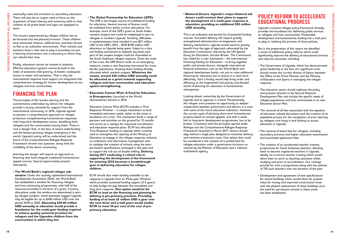**• Bilateral Donors: Uganda's major bilateral aid donors could reorient their plans to support the development of a multi-year response in education, providing an additional \$50 million USD annually.** 

This is an indicative and partial list of potential funding sources. Successful delivery will require greatly strengthened administrative arrangements and delivery mechanisms. Uganda would stand to greatly benefit from the type of approach advocated by the Education Commission chaired by the UN Special Envoy for Education, Gordon Brown. The Commission has called for a new mechanism – the International Financing Facility for Education – to bring together public and private donors, alongside international financial institutions such as the World Bank and regional development banks, not just to raise additional financing for education but to ensure it is used more effectively. Such a facility would help bring order and efficiency to the fragmented and poorly coordinated world of planning for education in humanitarian emergencies.

Looking ahead, ownership by the Government of Uganda and its agencies is critical. Paradoxically, the refugee crisis presents an opportunity to deepen cooperation between government and donors in a area with some of the worst education indicators. However, the current cycle of planning short-term humanitarian projects based on annual appeals, and with a weak link to long-term development programmes, has to be broken. Consistent with the principles agreed under ReHope and the Comprehensive Refugee Response Framework launched in March 2017, donors should align behind a single plan designed to maximise delivery and minimise transaction costs. One option that could be considered is the creation of a pooled fund for refugee education under a governance structure cochaired by the Minister of Education and a relevant multilateral agency.

### POLICY REFORM TO ACCELERATE EDUCATIONAL PROGRESS

Uganda's inclusive refugee policy framework already provides the foundation for delivering public services to refugees and host communities. Predictable development and humanitarian funding has a vital part to play in realising the promise of those policies.

But in the preparation of this report we identified a series of additional policy reforms which could significantly improve the delivery of educational services and improve outcomes, including:

- The Government of Uganda, which has demonstrated great leadership in the face of a significant crisis, should review the current division of labour between the Office of the Prime Minister and the Ministry of Education and Sports in managing the refugee response.
- The education sector should replicate the policy and practice inherent in the Second National Development Plan and include the specific needs of refugee populations and host communities in its new Education Sector Plan.
- The removal of all fees associated with the equation of education related documents and the creation of an expedited process for the recognition of prior learning by refugees now living in and looking to access education in Uganda.
- The removal of exam fees for refugees, including secondary entrance and higher education examination and associated application fees.
- The creation of an accelerated teacher training programme for South Sudanese teachers, allowing them to become registered teachers in Uganda, ideally via in-service teacher training which would allow them to work as teaching assistants whilst studying and prior to accreditation. Our costings provide for such a programme along with the salaries of 750 such teachers over the duration of the plan.
- Development and agreement of new specifications for school buildings which would allow for greater value for moneu and improved construction times with the phased replacement of these buildings once the need for permanent schools in these areas has been established.
- 18 19DELIVERING EDUCATION FOR ALL REFUGEESING EDUCATION EN CONSUMERATION EN CONSUMERATION EN CONSUMERATION EN<br>PLANS EDUCATION FOR ALL REFUGEES DE LA PLANS EDUCATION EN CONSUMERATION EN CONSUMERATION EN CONSUMERATION EN C<br>D • **The Global Partnership for Education (GPE):**  The GPE is the largest source of multilateral funding for education. Several sources of finance could be mobilised from within current allocations. For example, much of the GPE's grant to South Sudan remains unspent and could be redeployed in part to refugees in northern Uganda. Similarly, difficulties in implementation have resulted in just \$21 million USD of the GPE's 2014 - 2018 \$100 million USD allocation to Uganda being spent. *Subject to a clear and binding commitment to replenish any funds used*, part of the unspent budget could be channelled to the South Sudanese refugee response. Given the scale of the crisis, the GPE Board could, as an emergency measure, create a new financing instrument for crossborder populations, drawing down funding already allocated which remains unspent. **Whatever the means, around \$20 million USD annually could be allocated as a grant towards supporting refugees and host communities and education system-strengthening.** 
	- **Education Cannot Wait: A Fund for Education in Emergencies:** Launched at the World Humanitarian Summit in 2016.

eventually make the transition to secondary education. There will also be an urgent need to focus on the acquisition of basic literacy and numeracy skills so that children at all grade levels and ages are equipped to learn.

The trauma experienced by refugee children has to be factored into the planned provision. These children have witnessed violence, suffered loss, and been forced to flee to an unfamiliar environment. Their schools and teachers have a vital role to play in providing not just a learning environment, but a sanctuary in which they can rebuild their lives.

Finally, education cannot be treated in isolation. Effective education systems cannot be built in the midst of extensive child poverty, ill-health, inadequate access to water and sanitation. That is why the international response must support an integrated and comprehensive strategy for human development across refugees and host communities.

## FINANCING THE PLAN

The principles of fair burden-sharing and the commitments undertaken by donors for refugees provide a strong rationale for support from the international community. In 2016, Uganda agreed to pioneer a comprehensive approach to refugee protection complementing humanitarian responses with long-term development action, benefiting both refugees and the communities hosting them. There is now a danger that, in the face of severe underfunding and the fastest-growing refugee emergency in the world, Uganda's policy will be undermined and the future of the Comprehensive Refugee Response Framework thrown into question, along with the credibility of the donor community.

Averting this danger will require an approach to financing that looks beyond traditional humanitarian appeal sources. Several opportunities present themselves:

• **The World Bank's regional refugee sub-**

**window:** Under the recently replenished International Development Association (IDA), the World Bank has established a window for financing refugees and host community programmes, with half of the resources provided in the form of a grant. Country allocations under the window are determined in part by refugee numbers. Initial estimates suggest Uganda may be eligible for up to \$400 million USD over the period 2018 to 2020. **Allocating \$50-60 million USD annually to education would provide a foundation for the multi-year funding required to achieve quality universal provision for refugees and the Ugandan children from the communities in which they live.**

Education Cannot Wait (ECW) includes a 'First Response Window' – a unique mechanism to fund immediate education needs, either at the onset or escalation of a crisis. This mechanism funds a range of partners and activities on the ground for 12 months and serves as a catalyst for improved coordination and education response plans. ECW has allocated 'First Response' funding to Uganda which could be used to strengthen the capacity of the Ministry of Education to engage in the refugee response, enhance co-ordination and information management and to catalyse the creation of schools using the semipermanent specifications envisaged in this plan and to support the roll out of double shifting. **Delivery during 2017 could play a critical role in supporting the development of the framework for ensuring 2018 becomes a breakthrough year in delivering education for refugee children.**

ECW should also make funding available to the response in Uganda from its 'Multi-year Window' which provides sustained funding support (3-5 years) to help bridge the gap between the immediate and long term response. **One option would be for ECW to lead on the financing and planning for delivery in pre-primary provision. Providing funding of at least \$5 million USD a year over the next three and a half years would enable ECW to meet 50 per cent of the cost of preprimary education.**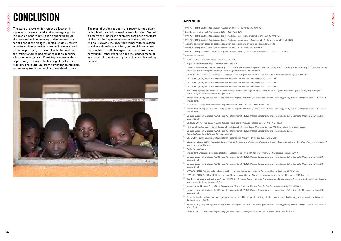

The state of provision for refugee education in Uganda represents an education emergency – but it is also an opportunity. It is an opportunity for the international community to demonstrate it is serious about the pledges undertaken at successive summits on humanitarian action and refugees. And it is an opportunity to draw a line in the sand on the institutionalised neglect of education in during education emergencies. Providing refugees with an opportunity to learn is the building block for their recovery and a vital link from humanitarian response to recovery, resilience and long-term development.

The plan of action set out in this report is not a silver bullet. It will not deliver world class education. Nor will it resolve the underlying problems that pose significant challenges for Uganda's education sustem. What it will do is provide the hope that comes with education to vulnerable refugee children, and to children in host communities. It will also signal that the international community stands ready to back the pledges made at international summits with practical action, backed by finance.

# CONCLUSION **APPENDIX**

- **1** UNHCR (2017). *South Sudan Situation: Regional Update, 16 30 April 2017.* UNHCR
- **2** Based on rate of arrivals 1st January 2017 30th April 2017
- **3** UNHCR (2017). *South Sudan Regional Refugee Response Plan: Funding Snapshot as of 01-Jun-17.* UNHCR
- **4** UNHCR (2017). *South Sudan Regional Refugee Response Plan January December 2017 Revised May 2017.* UNHCR
- **5** Author's calculation based on costs of education at pre-primary, primary and secondary levels
- **6** UNHCR (2017). *South Sudan Situation: Regional Update, 16 30 April 2017.* UNHCR
- **7** UNHCR (2017). *Uganda : South Sudan Refugee Situation (Info-Graphic): Bi-Weekly Update: 6 March 2017.* UNHCR **8** Author's calculation
- **9** UNHCR (2016). *Mid-Year Trends, June 2016.* UNHCR
- **<sup>10</sup>** https://ugandarefugees.org/ Accessed 14th June 2017
- **<sup>11</sup>** Author's calculation based on UNHCR (2017). *South Sudan Situation: Regional Update, 16 30 April 2017.* UNHCR and UNHCR (2017). *Uganda : South Sudan Refugee Situation (Info-Graphic): Bi-Weekly Update: 6 March 2017.* UNHCR.
- **<sup>12</sup>** UNHCR (2016). *Comprehensive Refugee Response Framework: from the New York Declaration to a global compact on refugees.* UNHCR
- **<sup>13</sup>** UN OCHA (2016) *South Sudan Humanitarian Response Plan January December 2017.* UN OCHA
- **<sup>14</sup>** UN OCHA (2016) *South Sudan Humanitarian Response Plan January December 2017.* UN OCHA
- **15** UN OCHA (2016) *South Sudan Humanitarian Response Plan January December 2017.* UN OCHA
- **<sup>16</sup>** IMF (2015) *Uganda: Staff report for the 2015 article iv consultation and fourth review under the policy support instrument—press release; staff report; and statement by the executive director for Uganda.*IMF.
- **<sup>17</sup>** World Bank (2016). *The Uganda Poverty Assessment Report 2016: Farms, cities and good fortune : assessing poverty reduction in Uganda from 2006 to 2013.*  World Bank.
- **<sup>18</sup>** 1.7% in 2014 http://data.worldbank.org/indicator/SE.XPD.TOTL.GD.ZS?locations=UG
- **<sup>19</sup>** World Bank (2016). *The Uganda Poverty Assessment Report 2016: Farms, cities and good fortune : assessing poverty reduction in Uganda from 2006 to 2013.* World Bank.
- **<sup>20</sup>** Uganda Bureau of Statistics -UBOS- and ICF International. (2012). *Uganda Demographic and Health Survey 2011.* Kampala, Uganda: UBOS and ICF **International**
- **<sup>21</sup>** UNHCR (2017). *South Sudan Regional Refugee Response Plan: Funding Snapshot as of 01-Jun-17.* UNHCR
- **<sup>22</sup>** Ministry of Health and National Bureau of Statistics (2010). *South Sudan Household Survey 2010, Final Report. Juba,* South Sudan.
- **<sup>23</sup>** Uganda Bureau of Statistics -UBOS- and ICF International. (2012). *Uganda Demographic and Health Survey 2011.* Kampala, Uganda: UBOS and ICF International.
- **<sup>24</sup>** UN OCHA (2016) *South Sudan Humanitarian Response Plan January December 2017.* UN OCHA
- **<sup>25</sup>** Education Cluster (2017) *"Education Cannot Wait for the War to End": The role of education in saving lives and averting the loss of another generation in South Sudan.* Education Cluster.
- **<sup>26</sup>** Author's calculation
- **<sup>27</sup>** World Bank DataBank Education Statistics Latest data point is 11% for pre-primary GER [Accessed 14th June 2017]
- **<sup>28</sup>** Uganda Bureau of Statistics -UBOS- and ICF International. (2012). *Uganda Demographic and Health Survey 2011.* Kampala, Uganda: UBOS and ICF International.
- **<sup>29</sup>** Uganda Bureau of Statistics -UBOS- and ICF International. (2012). *Uganda Demographic and Health Survey 2011.* Kampala, Uganda: UBOS and ICF International.
- **<sup>30</sup>** UWEZO (2016). *Are Our Children Learning (2016)? Uwezo Uganda Sixth Learning Assessment Report December 2016.* Uwezo.
- **<sup>32</sup>** Teachers Initiative in Sub-Saharan Africa (TISSA) (2013*)Teacher Issues in Uganda: A Diagnosis for a Shared Vision on Issues and the Designing of a Feasible,*
- *Indigenous and Effective Teachers' Policy.*
- **<sup>33</sup>** Wane, W. and Martin, G. H. (2013) *Education and Health Services in Uganda: Data for Results and Accountability.* World Bank.
- International.
- **<sup>35</sup>** Based on Yumbe and national average figures in The Republic of Uganda Ministry of Education, Science, Technology and Sports (2016) *Education Statistical Abstract 2015.*
- **<sup>36</sup>** World Bank (2016). *The Uganda Poverty Assessment Report 2016: Farms, cities and good fortune : assessing poverty reduction in Uganda from 2006 to 2013. World Bank.*
- **<sup>37</sup>** UNHCR (2017). *South Sudan Regional Refugee Response Plan January December 2017 Revised May 2017.* UNHCR

**<sup>31</sup>** UWEZO (2016). Are Our Children Learning (2016)? Uwezo Uganda Sixth Learning Assessment Report December 2016. Uwezo.

**<sup>34</sup>** Uganda Bureau of Statistics -UBOS- and ICF International. (2012). *Uganda Demographic and Health Survey 2011.* Kampala, Uganda: UBOS and ICF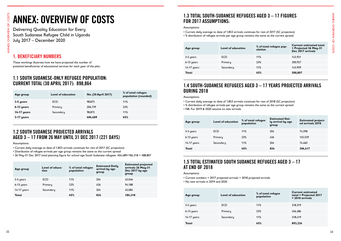# ANNEX: OVERVIEW OF COSTS

### 1. BENEFICIARY NUMBERS

### 1.1 SOUTH SUDANESE-ONLY REFUGEE POPULATION: CURRENT TOTAL (30 APRIL 2017): 898,864

| Age group          | <b>Level of education</b> | No. (30 April 2017) | % of total refugee<br>population (rounded) |
|--------------------|---------------------------|---------------------|--------------------------------------------|
| 3-5 years          | ECD                       | 98,875              | 11%                                        |
| 6-13 years         | Primary                   | 206,739             | 23%                                        |
| <b>14-17 years</b> | Secondary                 | 98,875              | 11%                                        |
| 3-17 years         |                           | 404,489             | 45%                                        |

### 1.2 SOUTH SUDANESE PROJECTED ARRIVALS AGED 3 – 17 FROM 26 MAY UNTIL 31 DEC 2017 (221 DAYS)

- Current daily average to date of 1,853 arrivals continues for rest of 2017 (SC projection)
- Distribution of refugee arrivals per age group remains the same as the current spread

| Age group   | Level of educa-<br>tion | % of total refugee<br>population | <b>Estimated Daily</b><br>arrival by age<br>group | <b>Estimated projected</b><br>arrivals 26 May-31<br>Dec 2017 by age<br>group |
|-------------|-------------------------|----------------------------------|---------------------------------------------------|------------------------------------------------------------------------------|
| 3-5 years   | <b>ECD</b>              | 11%                              | 204                                               | 45.046                                                                       |
| 6-13 years  | Primary                 | 23%                              | 426                                               | 94.188                                                                       |
| 14-17 years | Secondary               | 11%                              | 204                                               | 45,084                                                                       |
| Total       |                         | 45%                              | 834                                               | 184,318                                                                      |

### 1.3 TOTAL SOUTH-SUDANESE REFUGEES AGED 3 – 17 FIGURES FOR 2017 ASSUMPTIONS:

| <b>Delivering Quality Education for Every</b><br>South Sudanese Refugee Child in Uganda<br>July 2017 - December 2020<br>. BENEFICIARY NUMBERS |                           |                                                                                                                             |                                                   |                                                                                                                                                                                     | Assumptions:<br>• Current daily average to date of 1,853 arrivals continues for rest of 2017 (SC projection) |                                                                                                                                           |                                  |                                                     |                                                                              |
|-----------------------------------------------------------------------------------------------------------------------------------------------|---------------------------|-----------------------------------------------------------------------------------------------------------------------------|---------------------------------------------------|-------------------------------------------------------------------------------------------------------------------------------------------------------------------------------------|--------------------------------------------------------------------------------------------------------------|-------------------------------------------------------------------------------------------------------------------------------------------|----------------------------------|-----------------------------------------------------|------------------------------------------------------------------------------|
|                                                                                                                                               |                           |                                                                                                                             |                                                   |                                                                                                                                                                                     |                                                                                                              | • % distribution of refugee arrivals per age group remains the same as the current spread.                                                |                                  |                                                     |                                                                              |
|                                                                                                                                               |                           |                                                                                                                             |                                                   |                                                                                                                                                                                     | Age group                                                                                                    | <b>Level of education</b>                                                                                                                 | ulation                          | % of total refugee pop-                             | <b>Current estimated total</b><br>+ Projected 26 May-31<br>Dec 2017 arrivals |
|                                                                                                                                               |                           |                                                                                                                             |                                                   |                                                                                                                                                                                     | 3-5 years                                                                                                    | <b>ECD</b>                                                                                                                                | 11%                              |                                                     | 143,921                                                                      |
|                                                                                                                                               |                           | These workings illustrate how we have projected the number of                                                               |                                                   |                                                                                                                                                                                     | 6-13 years                                                                                                   | Primary                                                                                                                                   | 23%                              |                                                     | 300,927                                                                      |
|                                                                                                                                               |                           | potential beneficiaries of educational services for each year of the plan.                                                  |                                                   |                                                                                                                                                                                     | 14-17 years                                                                                                  | Secondary                                                                                                                                 | 11%                              |                                                     | 143,959                                                                      |
|                                                                                                                                               |                           |                                                                                                                             |                                                   |                                                                                                                                                                                     | <b>Total</b>                                                                                                 |                                                                                                                                           | 45%                              |                                                     | 588,807                                                                      |
| <b>CURRENT TOTAL (30 APRIL 2017): 898,864</b><br>Age group                                                                                    | <b>Level of education</b> | <b>1.1 SOUTH SUDANESE-ONLY REFUGEE POPULATION:</b>                                                                          | No. (30 April 2017)                               | % of total refugee<br>population (rounded)                                                                                                                                          | <b>DURING 2018</b><br>Assumptions:                                                                           | 1.4 SOUTH-SUDANESE REFUGEES AGED 3 - 17 YEARS PROJECTED ARRIVALS                                                                          |                                  |                                                     |                                                                              |
| 3-5 years                                                                                                                                     | <b>ECD</b>                | 98,875                                                                                                                      |                                                   | 11%                                                                                                                                                                                 |                                                                                                              | • Current daily average to date of 1,853 arrivals continues for rest of 2018 (SC projection)                                              |                                  |                                                     |                                                                              |
| 6-13 years                                                                                                                                    | Primary                   | 206,739                                                                                                                     |                                                   | 23%                                                                                                                                                                                 |                                                                                                              | • % distribution of refugee arrivals per age group remains the same as the current spread<br>• NB. For 2019 & 2020 assume no new arrivals |                                  |                                                     |                                                                              |
| <b>14-17 years</b>                                                                                                                            | Secondary                 | 98,875                                                                                                                      |                                                   | 11%                                                                                                                                                                                 |                                                                                                              |                                                                                                                                           |                                  |                                                     |                                                                              |
| 3-17 years                                                                                                                                    |                           | 404,489                                                                                                                     |                                                   | 45%                                                                                                                                                                                 | Age group                                                                                                    | <b>Level of education</b>                                                                                                                 | % of total refugee<br>population | <b>Estimated Dai-</b><br>ly arrival by age<br>group | <b>Estimated project-</b><br>ed arrivals 2018                                |
|                                                                                                                                               |                           | <b>1.2 SOUTH SUDANESE PROJECTED ARRIVALS</b>                                                                                |                                                   |                                                                                                                                                                                     | 3-5 years                                                                                                    | <b>ECD</b>                                                                                                                                | 11%                              | 204                                                 | 74,398                                                                       |
|                                                                                                                                               |                           | AGED 3 - 17 FROM 26 MAY UNTIL 31 DEC 2017 (221 DAYS)                                                                        |                                                   |                                                                                                                                                                                     | 6-13 years                                                                                                   | Primary                                                                                                                                   | 23%                              | 426                                                 | 155,559                                                                      |
| Assumptions:                                                                                                                                  |                           |                                                                                                                             |                                                   |                                                                                                                                                                                     | 14-17 years                                                                                                  | Secondary                                                                                                                                 | 11%                              | 204                                                 | 74,460                                                                       |
|                                                                                                                                               |                           | • Current daily average to date of 1,853 arrivals continues for rest of 2017 (SC projection)                                |                                                   |                                                                                                                                                                                     | <b>Total</b>                                                                                                 |                                                                                                                                           | 45%                              | 834                                                 | 304,417                                                                      |
| Age group                                                                                                                                     | Level of educa-<br>tion   | • Distribution of refugee arrivals per age group remains the same as the current spread<br>% of total refugee<br>population | <b>Estimated Daily</b><br>arrival by age<br>group | • 26 May-31 Dec 2017 total planning figure for school age South Sudanese refugees: 404,489+184,318 = 588,807<br><b>Estimated projected</b><br>arrivals 26 May-31<br>Dec 2017 by age | AT END OF 2018                                                                                               | <u>1.5 TOTAL ESTIMATED SOUTH SUDANESE REFUGEES AGED 3 - 17</u>                                                                            |                                  |                                                     |                                                                              |
|                                                                                                                                               |                           |                                                                                                                             |                                                   | group                                                                                                                                                                               | Assumptions:                                                                                                 |                                                                                                                                           |                                  |                                                     |                                                                              |
| 3-5 years                                                                                                                                     | <b>ECD</b>                | 11%                                                                                                                         | 204                                               | 45,046                                                                                                                                                                              | . No new arrivals in 2019 and 2020                                                                           | • Current numbers + 2017 projected arrivals + 2018 projected arrivals                                                                     |                                  |                                                     |                                                                              |
| 6-13 years                                                                                                                                    | Primary                   | 23%                                                                                                                         | 426                                               | 94,188                                                                                                                                                                              |                                                                                                              |                                                                                                                                           |                                  |                                                     |                                                                              |
| 14-17 years                                                                                                                                   | Secondary                 | 11%                                                                                                                         | 204                                               | 45,084                                                                                                                                                                              |                                                                                                              |                                                                                                                                           |                                  |                                                     | <b>Current estimated</b>                                                     |
| <b>Total</b>                                                                                                                                  |                           | 45%                                                                                                                         | 834                                               | 184,318                                                                                                                                                                             | Age group                                                                                                    | <b>Level of education</b>                                                                                                                 |                                  | % of total refugee<br>population                    | total + Projected 2017<br>+ 2018 arrivals                                    |
|                                                                                                                                               |                           |                                                                                                                             |                                                   |                                                                                                                                                                                     | 3-5 years                                                                                                    | <b>ECD</b>                                                                                                                                | 11%                              |                                                     | 218,319                                                                      |
|                                                                                                                                               |                           |                                                                                                                             |                                                   |                                                                                                                                                                                     |                                                                                                              |                                                                                                                                           |                                  |                                                     |                                                                              |
|                                                                                                                                               |                           |                                                                                                                             |                                                   |                                                                                                                                                                                     | 6-13 years                                                                                                   | Primary                                                                                                                                   | 23%                              |                                                     | 456,486                                                                      |
|                                                                                                                                               |                           |                                                                                                                             |                                                   |                                                                                                                                                                                     |                                                                                                              |                                                                                                                                           |                                  |                                                     |                                                                              |
|                                                                                                                                               |                           |                                                                                                                             |                                                   |                                                                                                                                                                                     | 14-17 years<br><b>Total</b>                                                                                  | Secondary                                                                                                                                 | 11%<br>45%                       |                                                     | 218,419<br>893,224                                                           |

- Current daily average to date of 1,853 arrivals continues for rest of 2017 (SC projection)
- % distribution of refugee arrivals per age group remains the same as the current spread.

| Age group   | <b>Level of education</b> | % of total refugee pop-<br>ulation | <b>Current estimated total</b><br>+ Projected 26 May-31<br>Dec 2017 arrivals |
|-------------|---------------------------|------------------------------------|------------------------------------------------------------------------------|
| 3-5 years   | <b>ECD</b>                | 11%                                | 143.921                                                                      |
| 6-13 years  | Primary                   | 23%                                | 300,927                                                                      |
| 14-17 years | Secondary                 | 11%                                | 143,959                                                                      |
| Total       |                           | 45%                                | 588,807                                                                      |

#### 1.4 SOUTH-SUDANESE REFUGEES AGED 3 – 17 YEARS PROJECTED ARRIVALS DURING 2018

- Current daily average to date of 1,853 arrivals continues for rest of 2018 (SC projection)
- % distribution of refugee arrivals per age group remains the same as the current spread
- NB. For 2019 & 2020 assume no new arrivals

| Age group     | <b>Level of education</b> | % of total refugee<br>population | <b>Estimated Dai-</b><br>ly arrival by age<br>group | <b>Estimated project-</b><br>ed arrivals 2018 |
|---------------|---------------------------|----------------------------------|-----------------------------------------------------|-----------------------------------------------|
| 3-5 years     | ECD.                      | 11%                              | 204                                                 | 74,398                                        |
| 6-13 years    | Primary                   | 23%                              | 426                                                 | 155,559                                       |
| $14-17$ years | Secondary                 | 11%                              | 204                                                 | 74.460                                        |
| Total         |                           | 45%                              | 834                                                 | 304,417                                       |

#### 1.5 TOTAL ESTIMATED SOUTH SUDANESE REFUGEES AGED 3 – 17 AT END OF 2018

- Current numbers + 2017 projected arrivals + 2018 projected arrivals
- No new arrivals in 2019 and 2020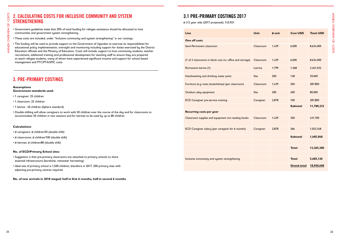#### 2. CALCULATING COSTS FOR INCLUSIVE COMMUNITY AND SYSTEM STRENGTHENING

- Government guidelines state that 30% of total funding for refugee assistance should be allocated to host communities and government system strengthening.
- These costs are included, under "Inclusive community and system strengthening" in our costings.
- This funding will be used to provide support to the Government of Ugandan to exercise its responsibilities for educational policy implementation, oversight and monitoring including support for duties exercised by the District Education officials and the Ministry of Education. Costs will include, support to host community students, teacher recruitment, additional training and professional development for teaching staff to ensure they are prepared to teach refugee students, many of whom have experienced significant trauma and support for school based management and PTC/PTA/SMC costs.

- # caregivers: # children/50 (double shift)
- # classrooms: # children/100 (double shift)
- # latrines: # children/80 (double shift)

#### 3. PRE-PRIMARY COSTINGS

#### **Assumptions Government standards used:**

- 1 caregiver: 25 children
- 1 classroom: 25 children
- 1 latrine : 40 children (Sphere standard)
- Double shifting will allow caregivers to work with 50 children over the course of the day and for classrooms to accommodate 50 children in two sessions and for latrines to be used by up to 80 children

#### **Calculations:**

#### **No. of ECD/Primary School sites:**

- Suggestion is that pre-primary classrooms are attached to primary schools to share essential infrastructure (borehole, rainwater harvesting).
- Ideal size of primary school is 1,500 children, therefore in 2017, 200 primary sites with adjoining pre-primary centres required.

#### **No. of new arrivals in 2018 staged: half in first 6 months, half in second 6 months**

### 3.1 PRE-PRIMARY COSTINGS 2017

# 3-5 year olds (2017 projected): 143,921

| <b>Line</b>                                               | <b>Unit</b> | $#$ unit | <b>Cost USD</b>    | <b>Total USD</b> |
|-----------------------------------------------------------|-------------|----------|--------------------|------------------|
| <b>One off costs</b>                                      |             |          |                    |                  |
| Semi-Permanent classroom                                  | Classroom   | 1,439    | 6,000              | 8,634,000        |
| (1 of 3 classrooms in block cost inc. office and storage) | Classroom   | 1,439    | 6,000              | 8,634,000        |
| Permanent latrine (1)                                     | Latrine     | 1,799    | 1,368              | 2,461,032        |
| Handwashing and drinking water point                      | Site        | 200      | 148                | 29,600           |
| Furniture (e.g. mats, bookshelves) (per classroom)        | Classroom   | 1,439    | 200                | 287,800          |
| Outdoor play equipment                                    | Site        | 200      | 400                | 80,000           |
| <b>ECD Caregiver pre-service training</b>                 | Caregiver   | 2,878    | 100                | 287,800          |
|                                                           |             |          | <b>Subtotal</b>    | 11,780,232       |
| <b>Recurring costs per year</b>                           |             |          |                    |                  |
| Classroom supplies and equipment incl reading books       | Classroom   | 1,439    | 300                | 431,700          |
| ECD Caregiver salary (per caregiver for 6 months)         | Caregiver   | 2,878    | 366                | 1,053,348        |
|                                                           |             |          | <b>Subtotal</b>    | 1,485,048        |
|                                                           |             |          | <b>Total</b>       | 13,265,280       |
|                                                           |             |          |                    |                  |
| Inclusive community and system strengthening              |             |          | <b>Total</b>       | 5,685,120        |
|                                                           |             |          | <b>Grand total</b> | 18,950,400       |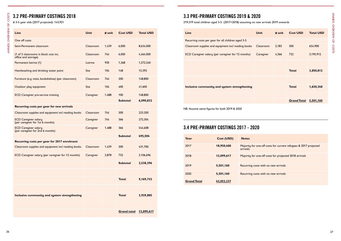## 3.2 PRE-PRIMARY COSTINGS 2018

# 3-5 year olds (2017 projected): 143,921

| <b>Line</b>                                                     | <b>Unit</b> | $#$ unit | <b>Cost USD</b>               | <b>Total USD</b> |
|-----------------------------------------------------------------|-------------|----------|-------------------------------|------------------|
| One off costs                                                   |             |          |                               |                  |
| Semi-Permanent classroom                                        | Classroom   | 1,439    | 6,000                         | 8,634,000        |
| (1 of 3 classrooms in block cost inc.<br>office and storage)    | Classroom   | 744      | 6,000                         | 4,464,000        |
| Permanent latrine (1)                                           | Latrine     | 930      | 1,368                         | 1,272,240        |
| Handwashing and drinking water point                            | Site        | 104      | 148                           | 15,392           |
| Furniture (e.g. mats, bookshelves) (per classroom)              | Classroom   | 744      | 200                           | 148,800          |
| Outdoor play equipment                                          | <b>Site</b> | 104      | 400                           | 41,600           |
| <b>ECD Caregiver pre-service training</b>                       | Caregiver   | 1,488    | 100                           | 148,800          |
|                                                                 |             |          | <b>Subtotal</b>               | 6,090,832        |
| <b>Recurring costs per year for new arrivals</b>                |             |          |                               |                  |
| Classroom supplies and equipment incl reading books             | Classroom   | 744      | 300                           | 223,200          |
| <b>ECD Caregiver salary</b><br>(per caregiver for 1st 6 months) | Caregiver   | 744      | 366                           | 272,304          |
| <b>ECD Caregiver salary</b><br>(per caregiver for 2nd 6 months) | Caregiver   | 1,488    | 366                           | 544,608          |
|                                                                 |             |          | <b>Subtotal</b>               | 495,504          |
| <b>Recurring costs per year for 2017 enrolment</b>              |             |          |                               |                  |
| Classroom supplies and equipment incl reading books             | Classroom   | 1,439    | 300                           | 431,700          |
| ECD Caregiver salary (per caregiver for 12 months)              | Caregiver   | 2,878    | 732                           | 2,106,696        |
|                                                                 |             |          | <b>Subtotal</b>               | 2,538,396        |
|                                                                 |             |          |                               |                  |
|                                                                 |             |          | <b>Total</b>                  | 9,169,732        |
|                                                                 |             |          |                               |                  |
| Inclusive community and system strengthening                    |             |          | <b>Total</b>                  | 3,929,885        |
|                                                                 |             |          |                               |                  |
|                                                                 |             |          | <b>Grand total 13,099,617</b> |                  |

one-off costs for current refugees & 2017 projected one-off costs for projected 2018 arrivals sts with no new arrivals sts with no new arrivals

# ANNEX: OVERVIEW OF COSTS ANNEX: OVERVIEW OF COSTS

# 3.3 PRE-PRIMARY COSTINGS 2019 & 2020

219,319 total children aged 3-5 (2017+2018) assuming no new arrivals 2019 onwards

| Line                                                | Unit      | $#$ unit | <b>Cost USD</b>    | <b>Total USD</b> |
|-----------------------------------------------------|-----------|----------|--------------------|------------------|
| Recurring costs per year for all children aged 3-5  |           |          |                    |                  |
| Classroom supplies and equipment incl reading books | Classroom | 2,183    | 300                | 654,900          |
| ECD Caregiver salary (per caregiver for 12 months)  | Caregiver | 4,366    | 732                | 3,195,912        |
|                                                     |           |          |                    |                  |
|                                                     |           |          | <b>Total</b>       | 3,850,812        |
|                                                     |           |          |                    |                  |
| Inclusive community and system strengthening        |           |          | <b>Total</b>       | 1,650,348        |
|                                                     |           |          |                    |                  |
|                                                     |           |          | <b>Grand Total</b> | 5,501,160        |
|                                                     |           |          |                    |                  |

NB. Assume same figures for both 2019 & 2020

## 3.4 PRE-PRIMARY COSTINGS 2017 - 2020

| Year               | Cost (USD) | <b>Notes</b>               |
|--------------------|------------|----------------------------|
| 2017               | 18,950,400 | Majority for c<br>arrivals |
| 2018               | 13,099,617 | Majority for c             |
| 2019               | 5,501,160  | <b>Recurring cos</b>       |
| 2020               | 5,501,160  | <b>Recurring cos</b>       |
| <b>Grand Total</b> | 43,052,337 |                            |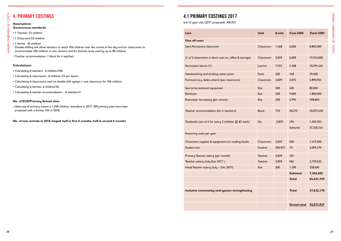# COSTS ANNEX: OVERVIEW OF COSTSOVERVIEW OF ANNEX:

## 4. PRIMARY COSTINGS

#### **Assumptions**

#### **Government standards:**

- 1 Teacher: 53 children
- 1 Classroom:53 children
- 1 latrine : 40 children

Double shifting will allow teachers to teach 106 accommodate 106 children in two sessions and fo

• Teacher accommodation: 1 block for 4 teachers

#### **Calculations:**

- Calculating # teachers: # children/106
- Calculating # classrooms : # children /53 per less
- Calculating # classrooms used on double shift sys
- Calculating # latrines: # children/40
- Calculating # teacher accommodation : # teache

• Ideal size of primary school is 1,500 children, ther projected with a further 104 in 2018.

**No. of new arrivals in 2018 staged: half in fir** 

#### **No. of ECD/Primary School sites:**

## 4.1 PRIMARY COSTINGS 2017

# 6-13 year olds (2017 projected): 300,927

|                                                                                                           | <b>Line</b>                                             | Unit         | # unit  | <b>Cost USD</b>        | <b>Total USD</b> |
|-----------------------------------------------------------------------------------------------------------|---------------------------------------------------------|--------------|---------|------------------------|------------------|
|                                                                                                           | One off costs                                           |              |         |                        |                  |
| children over the course of the day and for classrooms to<br>or latrines to be used by up to 80 children. | Semi-Permanent classroom                                | Classroom    | 1,468   | 6,000                  | 8,805,000        |
|                                                                                                           | (1 of 3 classrooms in block cost inc. office & storage) | Classroom    | 2,839   | 6,000                  | 17,034,000       |
|                                                                                                           | Permanent latrine (1)                                   | Latrine      | 7,523   | 1,368                  | 10,291,464       |
| son                                                                                                       | Handwashing and drinking water point                    | Point        | 200     | 148                    | 29,600           |
| stem = one classroom for 106 children                                                                     | Furniture (e.g. desks, chairs) (per classroom)          | Classroom    | 2,839   | 2,075                  | 5,890,925        |
|                                                                                                           | Sports/recreational equipment                           | Site         | 200     | 400                    | 80,000           |
| ers/4                                                                                                     | <b>Borehole</b>                                         | Site         | 200     | 9,000                  | 1,800,000        |
| refore in 2017, 200 primary sites have been                                                               | Rainwater harvesting (per school)                       | Site         | 200     | 2,994                  | 598,800          |
|                                                                                                           | Teacher accommodation (for 4 teachers)                  | <b>Block</b> | 710     | 28,275                 | 20,075,250       |
| st 6 months, half in second 6 months                                                                      | Textbooks (set of 4 for every 3 children @ \$7 each)    | Set          | 2,839   | 495                    | 1,405,305        |
|                                                                                                           |                                                         |              |         | Subtotal               | 57,205,344       |
|                                                                                                           | Recurring costs per year                                |              |         |                        |                  |
|                                                                                                           | Classroom supplies & equipment incl reading books       | Classroom    | 2,839   | 500                    | 1,419,500        |
|                                                                                                           | <b>Student kits</b>                                     | Student      | 300,927 | 10                     | 3,009,270        |
|                                                                                                           | <b>Primary Teacher salary (per month)</b>               | Teacher      | 2,839   | 161                    |                  |
|                                                                                                           | Teacher salary (July-Dec 2017)                          | Teacher      | 2,839   | 965                    | 2,739,635        |
|                                                                                                           | Head Teacher salary (July - Dec 2017)                   | Site         | 200     | 1,290                  | 258,000          |
|                                                                                                           |                                                         |              |         | Subtotal               | 7,246,405        |
|                                                                                                           |                                                         |              |         | <b>Total</b>           | 64,451,749       |
|                                                                                                           |                                                         |              |         |                        |                  |
|                                                                                                           | Inclusive community and system strengthening            |              |         | <b>Total</b>           | 27,622,178       |
|                                                                                                           |                                                         |              |         |                        |                  |
|                                                                                                           |                                                         |              |         | Grand total 92,073,927 |                  |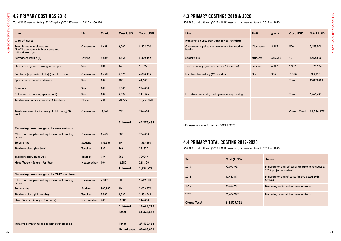## 4.2 PRIMARY COSTINGS 2018

Total 2018 new arrivals (155,559) plus (300,927) total in 2017 = 456,486

| Line                                                                                   | <b>Unit</b>     | # unit  | <b>Cost USD</b> | <b>Total USD</b> | <b>Line</b>                                                                  | Unit      | # unit                  | <b>Cost USD</b>                                   | <b>Total USD</b> |
|----------------------------------------------------------------------------------------|-----------------|---------|-----------------|------------------|------------------------------------------------------------------------------|-----------|-------------------------|---------------------------------------------------|------------------|
| One off costs                                                                          |                 |         |                 |                  | Recurring costs per year for all children                                    |           |                         |                                                   |                  |
| Semi-Permanent classroom<br>(1 of 3 classrooms in block cost inc.<br>office & storage) | Classroom       | 1,468   | 6,000           | 8,805,000        | Classroom supplies and equipment incl reading<br>books                       | Classroom | 4,307                   | 500                                               | 2,153,500        |
| Permanent latrine (1)                                                                  | Latrine         | 3,889   | 1,368           | 5,320,152        | Student kits                                                                 | Students  | 456,486                 | 10                                                | 4,564,860        |
| Handwashing and drinking water point                                                   | Site            | 104     | 148             | 15,392           | Teacher salary (per teacher for 12 months)                                   | Teacher   | 4,307                   | 1,932                                             | 8,321,124        |
| Furniture (e.g. desks, chairs) (per classroom)                                         | Classroom       | 1,468   | 2,075           | 6,090,125        | Headteacher salary (12 months)                                               | Site      | 304                     | 2,580                                             | 784,320          |
| Sports/recreational equipment                                                          | Site            | 104     | 400             | 41,600           |                                                                              |           |                         | Total                                             | 15,039,484       |
| Borehole                                                                               | Site            | 104     | 9,000           | 936,000          |                                                                              |           |                         |                                                   |                  |
| Rainwater harvesting (per school)                                                      | Site            | 104     | 2,994           | 311,376          | Inclusive community and system strengthening                                 |           |                         | Total                                             | 6,445,493        |
| Teacher accommodation (for 4 teachers)                                                 | <b>Blocks</b>   | 734     | 28,275          | 20,753,850       |                                                                              |           |                         |                                                   |                  |
| Textbooks (set of 4 for every 3 children @ \$7<br>each)                                | Classroom       | 1,468   | 495             | 726,660          |                                                                              |           |                         | <b>Grand Total</b>                                | 21,484,977       |
|                                                                                        |                 |         | <b>Subtotal</b> | 42,273,495       |                                                                              |           |                         |                                                   |                  |
| <b>Recurring costs per year for new arrivals</b>                                       |                 |         |                 |                  | NB. Assume same figures for 2019 & 2020                                      |           |                         |                                                   |                  |
|                                                                                        |                 |         |                 |                  |                                                                              |           |                         |                                                   |                  |
| Classroom supplies and equipment incl reading<br>books                                 | Classroom       | 1,468   | 500             | 734,000          |                                                                              |           |                         |                                                   |                  |
| Student kits                                                                           | Student         | 155,559 | 10              | 1,555,590        | 4.4 PRIMARY TOTAL COSTING 2017-2020                                          |           |                         |                                                   |                  |
| Teacher salary (Jan-June)                                                              | Teacher         | 367     | 966             | 354522           | 456,486 total children (2017 +2018) assuming no new arrivals in 2019 or 2020 |           |                         |                                                   |                  |
| Teacher salary (July-Dec)                                                              | Teacher         | 734     | 966             | 709044           |                                                                              |           |                         |                                                   |                  |
| Head Teacher Salary (Per Year)                                                         | Headteacher 104 |         | 2,580           | 268,320          | Year<br>Cost (USD)                                                           |           | <b>Notes</b>            |                                                   |                  |
|                                                                                        |                 |         | Subtotal        | 3,621,476        | 2017<br>92,073,927                                                           |           | 2017 projected arrivals | Majority for one-off costs for current refugees & |                  |
| Recurring costs per year for 2017 enrolment                                            |                 |         |                 |                  | 2018<br>80,463,841                                                           |           |                         | Majority for one of costs for projected 2018      |                  |
| Classroom supplies and equipment incl reading<br>books                                 | Classroom       | 2,839   | 500             | 1,419,500        |                                                                              |           | arrivals                |                                                   |                  |
| <b>Student kits</b>                                                                    | Student         | 300,927 | 10              | 3,009,270        | 2019<br>21,484,977                                                           |           |                         | Recurring costs with no new arrivals              |                  |
| Teacher salary (12 months)                                                             | Teacher         | 2,839   | 1,932           | 5,484,948        | 2020<br>21,484,977                                                           |           |                         | Recurring costs with no new arrivals              |                  |
| Head Teacher Salary (12 months)                                                        | Headteacher     | 200     | 2,580           | 516,000          | <b>Grand Total</b>                                                           |           |                         |                                                   |                  |
|                                                                                        |                 |         | <b>Subtotal</b> | 10,429,718       | 215,507,722                                                                  |           |                         |                                                   |                  |
|                                                                                        |                 |         | <b>Total</b>    | 56,324,689       |                                                                              |           |                         |                                                   |                  |
| Inclusive community and system strengthening                                           |                 |         | <b>Total</b>    | 24,139,152       |                                                                              |           |                         |                                                   |                  |

## 4.3 PRIMARY COSTINGS 2019 & 2020

456,486 total children (2017 +2018) assuming no new arrivals in 2019 or 2020

| <b>Line</b>                                            | <b>Unit</b>     | $#$ unit | <b>Cost USD</b>    | <b>Total USD</b> |
|--------------------------------------------------------|-----------------|----------|--------------------|------------------|
| Recurring costs per year for all children              |                 |          |                    |                  |
| Classroom supplies and equipment incl reading<br>books | Classroom       | 4,307    | 500                | 2,153,500        |
| <b>Student kits</b>                                    | <b>Students</b> | 456,486  | 10                 | 4,564,860        |
| Teacher salary (per teacher for 12 months)             | <b>Teacher</b>  | 4,307    | 1,932              | 8,321,124        |
| Headteacher salary (12 months)                         | <b>Site</b>     | 304      | 2,580              | 784,320          |
|                                                        |                 |          | Total              | 15,039,484       |
|                                                        |                 |          |                    |                  |
| Inclusive community and system strengthening           |                 |          | Total              | 6,445,493        |
|                                                        |                 |          |                    |                  |
|                                                        |                 |          | <b>Grand Total</b> | 21,484,977       |

## 4.4 PRIMARY TOTAL COSTING 2017-2020

| <b>Notes</b>                                                                 |
|------------------------------------------------------------------------------|
| Majority for one-off costs for current refugees &<br>2017 projected arrivals |
| Majority for one of costs for projected 2018<br>arrivals                     |
| Recurring costs with no new arrivals                                         |
| Recurring costs with no new arrivals                                         |
|                                                                              |

| Year               | Cost (USD)  | <b>Notes</b>                                                                 |
|--------------------|-------------|------------------------------------------------------------------------------|
| 2017               | 92,073,927  | Majority for one-off costs for current refugees &<br>2017 projected arrivals |
| 2018               | 80,463,841  | Majority for one of costs for projected 2018<br>arrivals                     |
| 2019               | 21,484,977  | Recurring costs with no new arrivals                                         |
| 2020               | 21,484,977  | Recurring costs with no new arrivals                                         |
| <b>Grand Total</b> | 215,507,722 |                                                                              |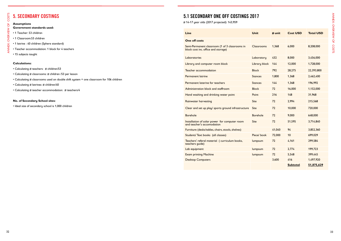# COSTS ANNEX: OVERVIEW OF COSTS**OVERVIEW OF** ANNEX:

### 5. SECONDARY COSTINGS

#### **Assumptions**

- **Government standards used:**
- 1 Teacher: 53 children
- 1 Classroom:53 children
- 1 latrine : 40 children (Sphere standard)
- Teacher accommodation: 1 block for 4 teachers
- 15 subjects taught

#### **Calculations:**

- Calculating # teachers: # children/53
- Calculating # classrooms: # children /53 per lesson
- Calculating # classrooms used on double shift system = one classroom for 106 children
- Calculating # latrines: # children/40
- Calculating # teacher accommodation: # teachers/4

#### **No. of Secondary School sites:**

• Ideal size of secondary school is 1,000 children

# 5.1 SECONDARY ONE OFF COSTINGS 2017

# 14-17 year olds (2017 projected): 143,959

| Line                                                                                  | Unit            | $#$ unit | <b>Cost USD</b> | <b>Total USD</b> |
|---------------------------------------------------------------------------------------|-----------------|----------|-----------------|------------------|
| <b>One off costs</b>                                                                  |                 |          |                 |                  |
| Semi-Permanent classroom (1 of 3 classrooms in<br>block cost inc. office and storage) | Classrooms      | 1,368    | 6,000           | 8,208,000        |
| Laboratories                                                                          | Laboratory      | 432      | 8,000           | 3,456,000        |
| Library and computer room block                                                       | Library block   | 144      | 12,000          | 1,728,000        |
| Teacher accommodation                                                                 | <b>Block</b>    | 792      | 28,275          | 22,393,800       |
| <b>Permanent latrine</b>                                                              | <b>Stances</b>  | 1,800    | 1,368           | 2,462,400        |
| Permanent laterine for teachers                                                       | <b>Stances</b>  | 144      | 1,368           | 196,992          |
| Administration block and staffroom                                                    | <b>Block</b>    | 72       | 16,000          | 1,152,000        |
| Hand washing and drinking water point                                                 | Point           | 216      | 148             | 31,968           |
| <b>Rainwater harvesting</b>                                                           | <b>Site</b>     | 72       | 2,994           | 215,568          |
| Clear and set up play/ sports ground infrastructure                                   | Site            | 72       | 10,000          | 720,000          |
| <b>Borehole</b>                                                                       | <b>Borehole</b> | 72       | 9,000           | 648,000          |
| Installation of solar power for computer room<br>and teacher's accomodation           | <b>Site</b>     | 72       | 51,595          | 3,714,840        |
| Furniture (desks/tables, chairs, stools, shelves)                                     |                 | 41,040   | 94              | 3,852,360        |
| Students' Text books (all classes)                                                    | Piece/ book     | 72,000   | 10              | 699,029          |
| Teachers' referal material ( curriculum books,<br>teachers guide)                     | lumpsum         | 72       | 4,161           | 299,584          |
| Lab equipment                                                                         | lumpsum         | 72       | 2,774           | 199,723          |
| <b>Exam printing Machine</b>                                                          | lumpsum         | 72       | 5,548           | 399,445          |
| <b>Desktop Computers</b>                                                              |                 | 3,600    | 416             | 1,497,920        |
|                                                                                       |                 |          | <b>Subtotal</b> | 51,875,629       |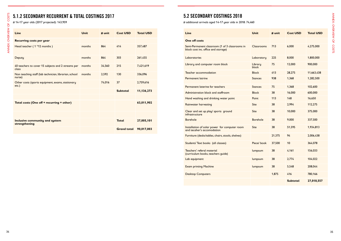# 5.1.2 SECONDARY RECURRENT & TOTAL COSTINGS 2017

# 14-17 year olds (2017 projected): 143,959

| <b>Line</b>                                                     | <b>Unit</b> | # unit | <b>Cost USD</b>    | <b>Total USD</b> |
|-----------------------------------------------------------------|-------------|--------|--------------------|------------------|
| <b>Recurring costs per year</b>                                 |             |        |                    |                  |
| Head teacher (1 *12 months)                                     | months      | 864    | 414                | 357,487          |
| Deputy                                                          | months      | 864    | 303                | 261,455          |
| 40 teachers to cover 15 subjects and 2 streams per<br>class     | months      | 34,560 | 215                | 7,421,619        |
| Non teaching staff (lab technician, librarian, school<br>nurse) | months      | 2,592  | 130                | 336,096          |
| Other costs (sports equipment, exams, stationary<br>$etc.$ )    |             | 74,016 | 37                 | 2,759,616        |
|                                                                 |             |        | <b>Subtotal</b>    | 11,136,273       |
|                                                                 |             |        |                    |                  |
| <b>Total costs (One off + recurring + other)</b>                |             |        |                    | 63,011,902       |
|                                                                 |             |        |                    |                  |
| <b>Inclusive community and system</b><br>strengthening          |             |        | <b>Total</b>       | 27,005,101       |
|                                                                 |             |        | <b>Grand total</b> | 90,017,003       |

# 5.2 SECONDARY COSTINGS 2018

# additional arrivals aged 14-17 year olds in 2018: 74,460

| <b>Line</b>                                                                           | <b>Unit</b>       | $#$ unit | <b>Cost USD</b> | <b>Total USD</b> |
|---------------------------------------------------------------------------------------|-------------------|----------|-----------------|------------------|
| <b>One off costs</b>                                                                  |                   |          |                 |                  |
| Semi-Permanent classroom (1 of 3 classrooms in<br>block cost inc. office and storage) | <b>Classrooms</b> | 713      | 6,000           | 4,275,000        |
| Laboratories                                                                          | Laboratory        | 225      | 8,000           | 1,800,000        |
| Library and computer room block                                                       | Library<br>block  | 75       | 12,000          | 900,000          |
| <b>Teacher accommodation</b>                                                          | <b>Block</b>      | 413      | 28,275          | 11,663,438       |
| <b>Permanent latrine</b>                                                              | <b>Stances</b>    | 938      | 1,368           | 1,282,500        |
| Permanent laterine for teachers                                                       | <b>Stances</b>    | 75       | 1,368           | 102,600          |
| Administration block and staffroom                                                    | <b>Block</b>      | 38       | 16,000          | 600,000          |
| Hand washing and drinking water point                                                 | Point             | 113      | 148             | 16,650           |
| <b>Rainwater harvesting</b>                                                           | <b>Site</b>       | 38       | 2,994           | 112,275          |
| Clear and set up play/ sports ground<br>infrastructure                                | Site              | 38       | 10,000          | 375,000          |
| <b>Borehole</b>                                                                       | <b>Borehole</b>   | 38       | 9,000           | 337,500          |
| Installation of solar power for computer room<br>and tecaher's accomodation           | <b>Site</b>       | 38       | 51,595          | 1,934,813        |
| Furniture (desks/tables, chairs, stools, shelves)                                     |                   | 21,375   | 94              | 2,006,438        |
| Students' Text books (all classes)                                                    | Piece/ book       | 37,500   | 10              | 364,078          |
| Teachers' referal material<br>(curriculum books, teachers guide)                      | lumpsum           | 38       | 4,161           | 156,033          |
| Lab equipment                                                                         | lumpsum           | 38       | 2,774           | 104,022          |
| <b>Exam printing Machine</b>                                                          | lumpsum           | 38       | 5,548           | 208,044          |
| <b>Desktop Computers</b>                                                              |                   | 1,875    | 416             | 780,166          |
|                                                                                       |                   |          | <b>Subtotal</b> | 27,018,557       |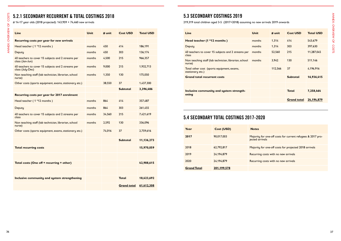## 5.2.1 SECONDARY RECURRENT & TOTAL COSTINGS 2018

# 14-17 year olds (2018 projected): 143,959 + 74,460 new arrivals

| <b>Line</b>                                                            | <b>Unit</b> | $#$ unit | <b>Cost USD</b>    | <b>Total USD</b> |
|------------------------------------------------------------------------|-------------|----------|--------------------|------------------|
| <b>Recurring costs per year for new arrivals</b>                       |             |          |                    |                  |
| Head teacher $(1 * 12$ months)                                         | months      | 450      | 414                | 186,191          |
| Deputy                                                                 | months      | 450      | 303                | 136,174          |
| 40 teachers to cover 15 subjects and 2 streams per<br>class (Jan-Jun)  | months      | 4,500    | 215                | 966,357          |
| 40 teachers to cover 15 subjects and 2 streams per<br>class (July-Dec) | months      | 9,000    | 215                | 1,932,713        |
| Non teaching staff (lab technician, librarian, school<br>nurse)        | months      | 1,350    | 130                | 175,050          |
| Other costs (sports equipment, exams, stationary etc.)                 |             | 38,550   | 37                 | 1,437,300        |
|                                                                        |             |          | <b>Subtotal</b>    | 3,396,486        |
| <b>Recurring costs per year for 2017 enrolment</b>                     |             |          |                    |                  |
| Head teacher $(1 * 12$ months)                                         | months      | 864      | 414                | 357,487          |
| Deputy                                                                 | months      | 864      | 303                | 261,455          |
| 40 teachers to cover 15 subjects and 2 streams per<br>class            | months      | 34,560   | 215                | 7,421,619        |
| Non teaching staff (lab technician, librarian, school<br>nurse)        | months      | 2,592    | 130                | 336,096          |
| Other costs (sports equipment, exams, stationary etc.)                 |             | 74,016   | 37                 | 2,759,616        |
|                                                                        |             |          | <b>Subtotal</b>    | 11,136,273       |
| <b>Total recurring costs</b>                                           |             |          |                    | 15,970,059       |
|                                                                        |             |          |                    |                  |
| Total costs (One off + recurring + other)                              |             |          |                    | 42,988,615       |
|                                                                        |             |          |                    |                  |
| <b>Inclusive community and system strengthening</b>                    |             |          | <b>Total</b>       | 18,423,692       |
|                                                                        |             |          | <b>Grand total</b> | 61,412,308       |

## 5.3 SECONDARY COSTINGS 2019

219,319 total children aged 3-5 (2017+2018) assuming no new arrivals 2019 onwards

| Line                                                            | <b>Unit</b> | $#$ unit | <b>Cost USD</b>    | <b>Total USD</b> |
|-----------------------------------------------------------------|-------------|----------|--------------------|------------------|
| Head teacher (1 *12 months)                                     | months      | 1,314    | 414                | 543,679          |
| Deputy                                                          | months      | 1,314    | 303                | 397,630          |
| 40 teachers to cover 15 subjects and 2 streams per<br>class     | months      | 52,560   | 215                | 11,287,045       |
| Non teaching staff (lab technician, librarian, school<br>nurse) | months      | 3,942    | 130                | 511,146          |
| Total other cost (sports equipment, exams,<br>stationary etc.)  |             | 112,566  | 37                 | 4,196,916        |
| <b>Grand total recurrent costs</b>                              |             |          | <b>Subtotal</b>    | 16,936,415       |
|                                                                 |             |          |                    |                  |
| Inclusive community and system strength-<br>ening               |             |          | <b>Total</b>       | 7,258,464        |
|                                                                 |             |          | <b>Grand total</b> | 24,194,879       |

### 5.4 SECONDARY TOTAL COSTINGS 2017-2020

| Year               | Cost (USD)  | <b>Notes</b>                                                                   |
|--------------------|-------------|--------------------------------------------------------------------------------|
| 2017               | 90,017,003  | Majority for one-off costs for current refugees & 2017 pro-<br>jected arrivals |
| 2018               | 62,792,817  | Majority for one-off costs for projected 2018 arrivals                         |
| 2019               | 24,194,879  | Recurring costs with no new arrivals                                           |
| 2020               | 24,194,879  | Recurring costs with no new arrivals                                           |
| <b>Grand Total</b> | 201,199,578 |                                                                                |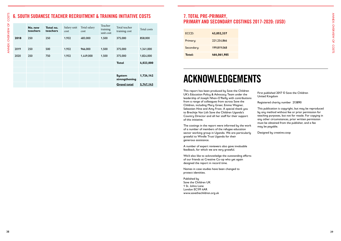### 6. SOUTH SUDANESE TEACHER RECRUITMENT & TRAINING INITIATIVE COSTS

|      | No. new<br>teachers | Total no.<br>teachers | Salary unit<br>cost | Total salary<br>cost | Teacher<br>training<br>unit cost | Total teacher<br>training cost | Total costs |
|------|---------------------|-----------------------|---------------------|----------------------|----------------------------------|--------------------------------|-------------|
| 2018 | 250                 | 250                   | 1,932               | 483,000              | 1,500                            | 375,000                        | 858,000     |
| 2019 | 250                 | 500                   | 1,932               | 966,000              | 1,500                            | 375,000                        | 1,341,000   |
| 2020 | 250                 | 750                   | 1,932               | 1,449,000            | 1,500                            | 375,000                        | 1,824,000   |
|      |                     |                       |                     |                      |                                  | <b>Total</b>                   | 4,023,000   |
|      |                     |                       |                     |                      |                                  |                                |             |
|      |                     |                       |                     |                      |                                  | <b>System</b><br>strengthening | 1,724,142   |
|      |                     |                       |                     |                      |                                  | <b>Grand total</b>             | 5,747,143   |

### 7. TOTAL PRE-PRIMARY, PRIMARY AND SECONDARY COSTINGS 2017-2020: (USD)

| ECCD:      | 43,052,337  |
|------------|-------------|
| Primary:   | 221,254,866 |
| Secondary: | 199.819.068 |
| Total:     | 464,061,985 |

# ACKNOWLEDGEMENTS

This report has been produced by Save the Children UK's Education Policy & Advocacy Team under the leadership of Joseph Nhan-O'Reilly with contributions from a range of colleagues from across Save the Children, including Mary Greer, Emma Wagner, Sebastien Hine and Amy Frost. A special thank you to Brechtje Van Lith Save the Children Uganda's Country Director and all her staff for their support of this initiative.

The costings in the report were informed by the work of a number of members of the refugee education sector working group in Uganda. We are particularly grateful to Windle Trust Uganda for their generous assistance.

A number of expert reviewers also gave invaluable feedback, for which we are very grateful.

We'd also like to acknowledge the outstanding efforts of our friends at Creative Co-op who yet again designed the report in record time.

Names in case studies have been changed to protect identities.

Published by Save the Children UK 1 St. Johns Lane London EC1M 4AR www.savethechildren.org.uk

- First published 2017 © Save the Children United Kingdom
- Registered charity number 213890
- This publication is copyright, but may be reproduced by any method without fee or prior permission for teaching purposes, but not for resale. For copying in any other circumstances, prior written permission must be obtained from the publisher, and a fee may be payable.
- Designed by creative.coop